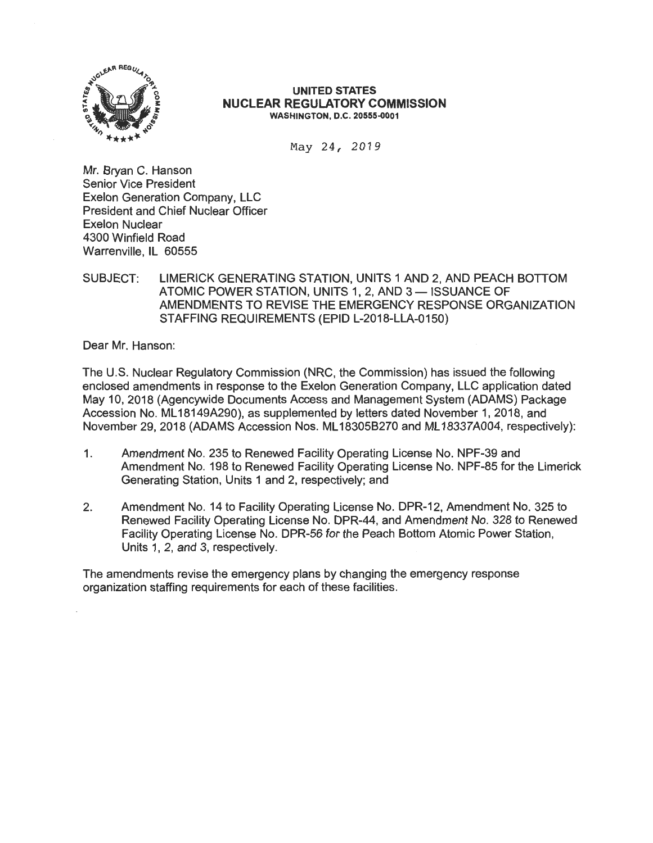

#### **UNITED STATES NUCLEAR REGULATORY COMMISSION WASHINGTON, D.C. 20555-0001**

May 24, 2019

Mr. Bryan C. Hanson Senior Vice President Exelon Generation Company, LLC President and Chief Nuclear Officer Exelon Nuclear 4300 Winfield Road Warrenville, IL 60555

## SUBJECT: LIMERICK GENERATING STATION, UNITS 1 AND 2, AND PEACH BOTTOM ATOMIC POWER STATION, UNITS 1, 2, AND 3 - ISSUANCE OF AMENDMENTS TO REVISE THE EMERGENCY RESPONSE ORGANIZATION STAFFING REQUIREMENTS (EPID L-2018-LLA-0150)

Dear Mr. Hanson:

The U.S. Nuclear Regulatory Commission (NRC, the Commission) has issued the following enclosed amendments in response to the Exelon Generation Company, LLC application dated May 10, 2018 (Agencywide Documents Access and Management System (ADAMS) Package Accession No. ML 18149A290), as supplemented by letters dated November 1, 2018, and November 29, 2018 (ADAMS Accession Nos. ML 183056270 and ML 18337A004, respectively):

- 1. Amendment No. 235 to Renewed Facility Operating License No. NPF-39 and Amendment No. 198 to Renewed Facility Operating License No. NPF-85 for the Limerick Generating Station, Units 1 and 2, respectively; and
- 2. Amendment No. 14 to Facility Operating License No. DPR-12, Amendment No. 325 to Renewed Facility Operating License No. DPR-44, and Amendment No. 328 to Renewed Facility Operating License No. DPR-56 for the Peach Bottom Atomic Power Station, Units 1, 2, and 3, respectively.

The amendments revise the emergency plans by changing the emergency response organization staffing requirements for each of these facilities.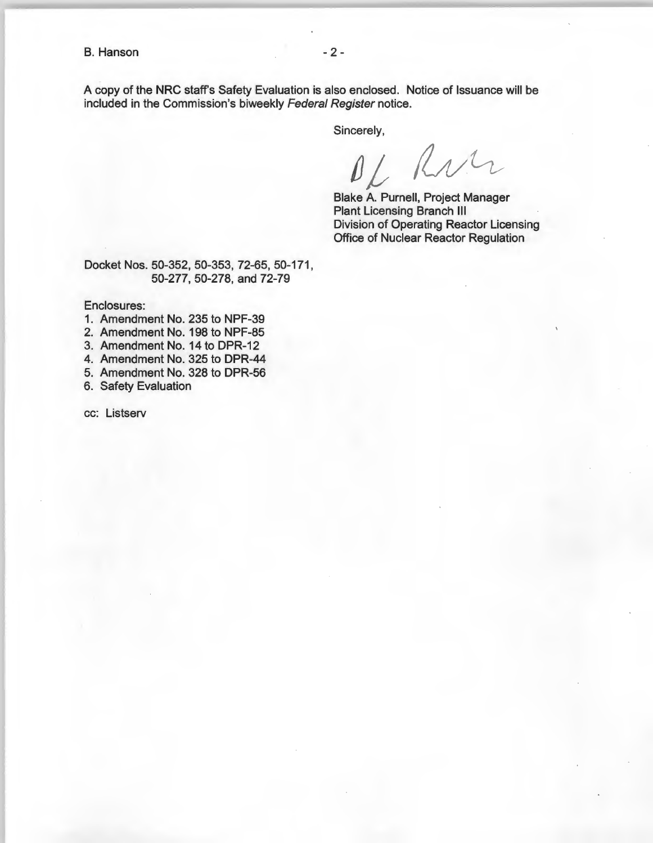A copy of the NRC staff's Safety Evaluation is also enclosed. Notice of Issuance will be included in the Commission's biweekly Federal Register notice.

Sincerely,<br> $PL$   $RU_1$ 

Blake A. Purnell, Project Manager Plant Licensing Branch Ill Division of Operating Reactor Licensing Office of Nuclear Reactor Regulation

Docket Nos. 50-352, 50-353, 72-65, 50-171, 50-277, 50-278, and 72-79

#### Enclosures:

- 1. Amendment No. 235 to NPF-39
- 2. Amendment No. 198 to NPF-85
- 3. Amendment No. 14 to DPR-12
- 4. Amendment No. 325 to DPR-44
- 5. Amendment No. 328 to DPR-56
- 6. Safety Evaluation

cc: Listserv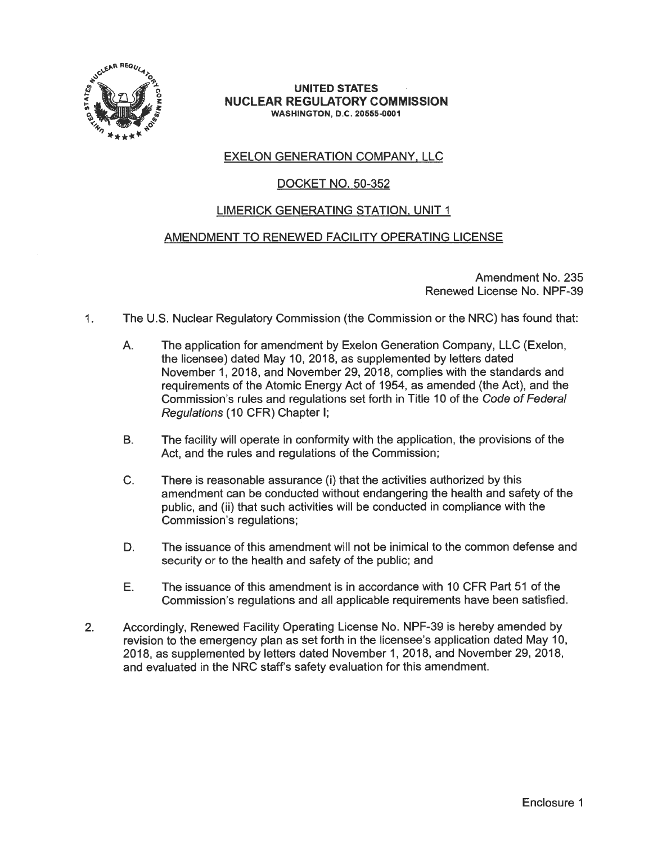

#### **UNITED STATES NUCLEAR REGULATORY COMMISSION WASHINGTON, D.C. 20555-0001**

# EXELON GENERATION COMPANY, LLC

# DOCKET NO. 50-352

# LIMERICK GENERATING STATION, UNIT 1

# AMENDMENT TO RENEWED FACILITY OPERATING LICENSE

Amendment No. 235 Renewed License No. NPF-39

- 1. The U.S. Nuclear Regulatory Commission (the Commission or the NRC) has found that:
	- A. The application for amendment by Exelon Generation Company, LLC (Exelon, the licensee) dated May 10, 2018, as supplemented by letters dated November 1, 2018, and November 29, 2018, complies with the standards and requirements of the Atomic Energy Act of 1954, as amended (the Act), and the Commission's rules and regulations set forth in Title 10 of the Code of Federal Regulations (10 CFR) Chapter I;
	- B. The facility will operate in conformity with the application, the provisions of the Act, and the rules and regulations of the Commission;
	- C. There is reasonable assurance (i) that the activities authorized by this amendment can be conducted without endangering the health and safety of the public, and (ii) that such activities will be conducted in compliance with the Commission's regulations;
	- D. The issuance of this amendment will not be inimical to the common defense and security or to the health and safety of the public; and
	- E. The issuance of this amendment is in accordance with 10 CFR Part 51 of the Commission's regulations and all applicable requirements have been satisfied.
- 2. Accordingly, Renewed Facility Operating License No. NPF-39 is hereby amended by revision to the emergency plan as set forth in the licensee's application dated May 10, 2018, as supplemented by letters dated November 1, 2018, and November 29, 2018, and evaluated in the NRC staff's safety evaluation for this amendment.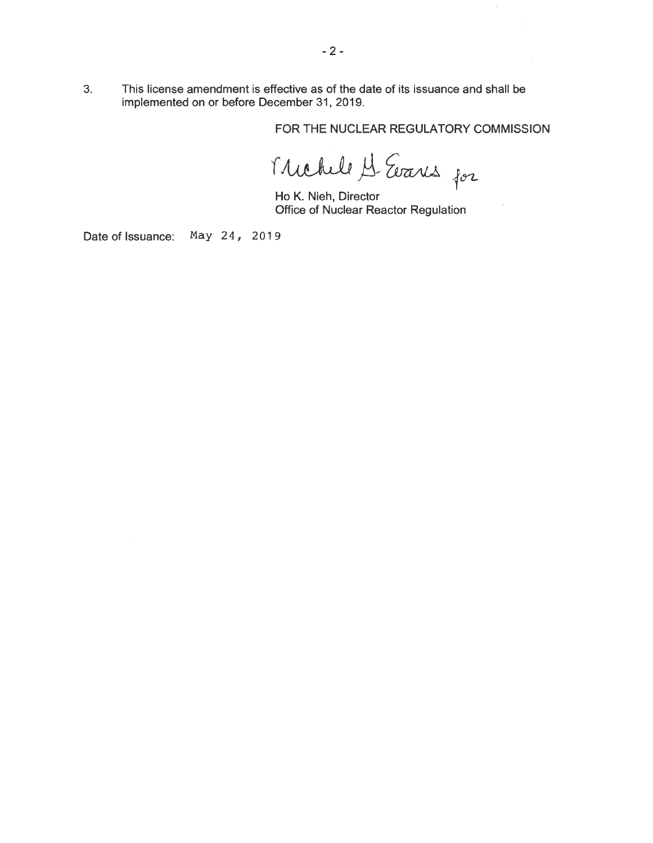3. This license amendment is effective as of the date of its issuance and shall be implemented on or before December 31, 2019.

FOR THE NUCLEAR REGULATORY COMMISSION

Michele H. Evans por

Ho K. Nieh, Director Office of Nuclear Reactor Regulation

Date of Issuance: May 24, 2019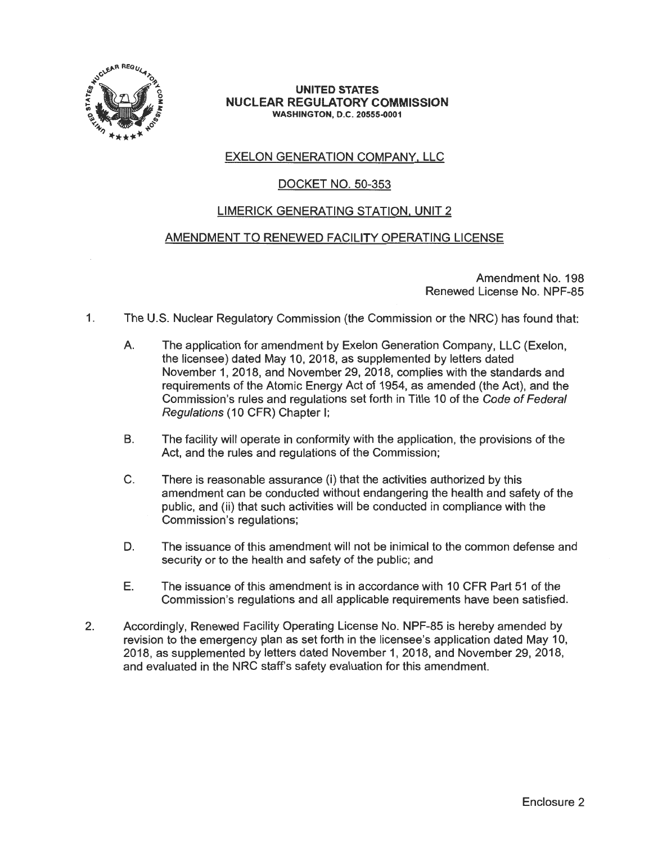

#### **UNITED STATES NUCLEAR REGULATORY COMMISSION WASHINGTON, D.C. 20555-0001**

# EXELON GENERATION COMPANY, LLC

# DOCKET NO. 50-353

# LIMERICK GENERATING STATION, UNIT 2

#### AMENDMENT TO RENEWED FACILITY OPERATING LICENSE

Amendment No. 198 Renewed License No. NPF-85

- 1. The U.S. Nuclear Regulatory Commission (the Commission or the NRC) has found that:
	- A. The application for amendment by Exelon Generation Company, LLC (Exelon, the licensee) dated May 10, 2018, as supplemented by letters dated November 1, 2018, and November 29, 2018, complies with the standards and requirements of the Atomic Energy Act of 1954, as amended (the Act), and the Commission's rules and regulations set forth in Title 10 of the Code of Federal Regulations (10 CFR) Chapter I;
	- B. The facility will operate in conformity with the application, the provisions of the Act, and the rules and regulations of the Commission;
	- C. There is reasonable assurance (i) that the activities authorized by this amendment can be conducted without endangering the health and safety of the public, and (ii) that such activities will be conducted in compliance with the Commission's regulations;
	- D. The issuance of this amendment will not be inimical to the common defense and security or to the health and safety of the public; and
	- E. The issuance of this amendment is in accordance with 10 CFR Part 51 of the Commission's regulations and all applicable requirements have been satisfied.
- 2. Accordingly, Renewed Facility Operating License No. NPF-85 is hereby amended by revision to the emergency plan as set forth in the licensee's application dated May 10, 2018, as supplemented by letters dated November 1, 2018, and November 29, 2018, and evaluated in the NRC staff's safety evaluation for this amendment.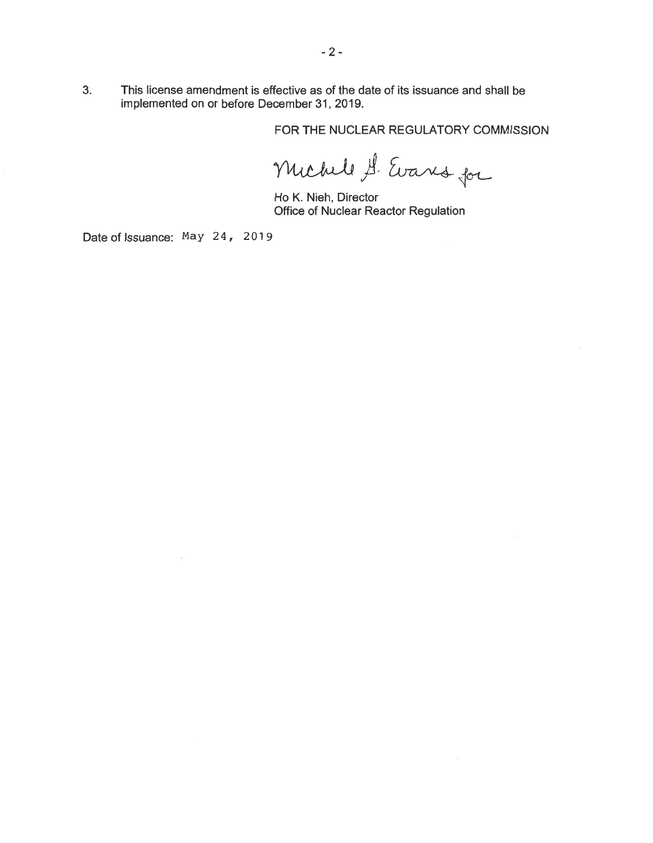3. This license amendment is effective as of the date of its issuance and shall be implemented on or before December 31, 2019.

FOR THE NUCLEAR REGULATORY COMMISSION

Michell A. Evans for

Ho K. Nieh, Director Office of Nuclear Reactor Regulation

Date of Issuance: May 24, 2019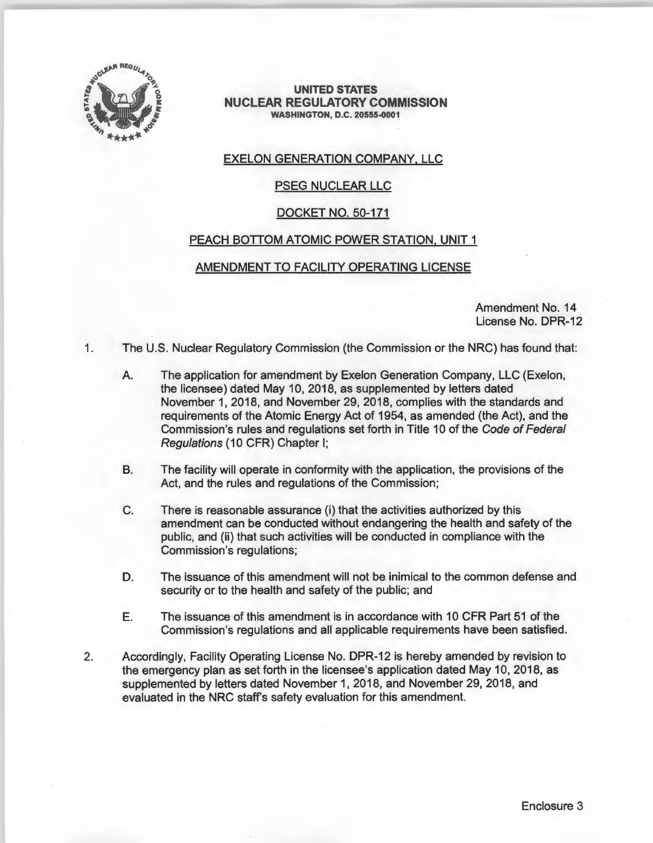

**UNITED STATES NUCLEAR REGULATORY COMMISSION WASHINGTON, D.C. 20555-0001** 

#### EXELON GENERATION COMPANY, LLC

#### PSEG NUCLEAR LLC

#### DOCKET NO. 50-171

#### PEACH BOTTOM ATOMIC POWER STATION, UNIT 1

#### AMENDMENT TO FACILITY OPERATING LICENSE

Amendment No. 14 License No. DPR-12

- 1. The U.S. Nuclear Regulatory Commission (the Commission or the NRC) has found that:
	- A. The application for amendment by Exelon Generation Company, LLC (Exelon, the licensee) dated May 10, 2018, as supplemented by letters dated November 1, 2018, and November 29, 2018, complies with the standards and requirements of the Atomic Energy Act of 1954, as amended (the Act), and the Commission's rules and regulations set forth in Title 10 of the Code of Federal Regulations (10 CFR) Chapter I;
	- B. The facility will operate in conformity with the application, the provisions of the Act, and the rules and regulations of the Commission;
	- C. There is reasonable assurance (i) that the activities authorized by this amendment can be conducted without endangering the health and safety of the public, and (ii) that such activities will be conducted in compliance with the Commission's regulations;
	- D. The issuance of this amendment will not be inimical to the common defense and security or to the health and safety of the public; and
	- E. The issuance of this amendment is in accordance with 10 CFR Part 51 of the Commission's regulations and all applicable requirements have been satisfied.
- 2. Accordingly, Facility Operating License No. DPR-12 is hereby amended by revision to the emergency plan as set forth in the licensee's application dated May 10, 2018, as supplemented by letters dated November 1, 2018, and November 29, 2018, and evaluated in the NRC staff's safety evaluation for this amendment.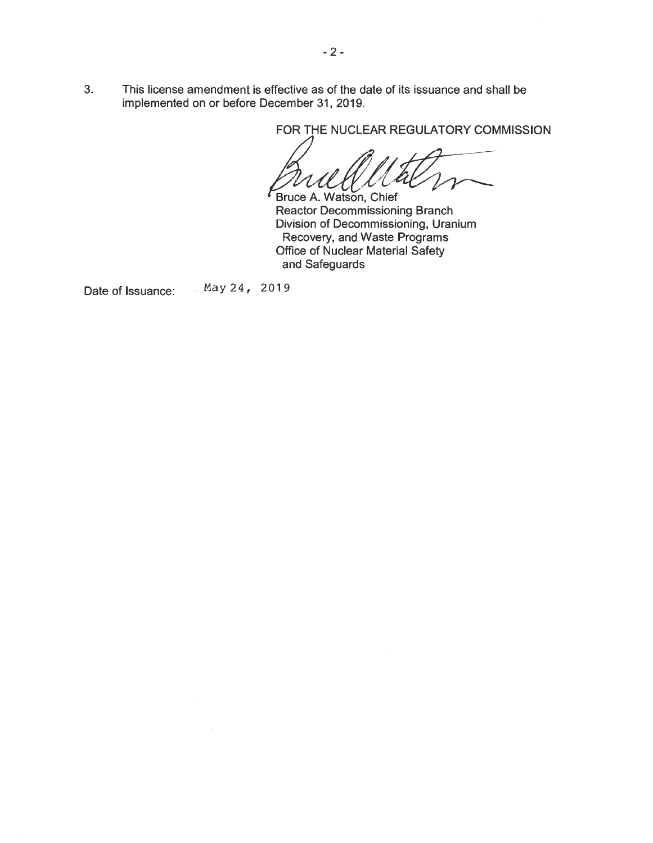3. This license amendment is effective as of the date of its issuance and shall be implemented on or before December 31, 2019.

FOR THE NUCLEAR REGULATORY COMMISSION

Bruce A. Watson, Chief Reactor Decommissioning Branch Division of Decommissioning, Uranium Recovery, and Waste Programs Office of Nuclear Material Safety and Safeguards

Date of Issuance: May 24, 2019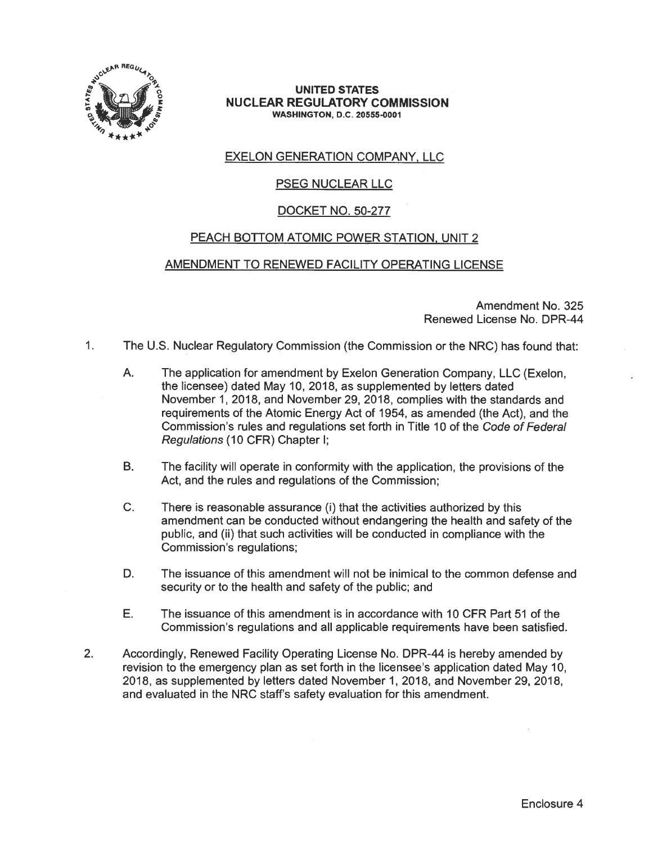

#### **UNITED STATES NUCLEAR REGULATORY COMMISSION WASHINGTON, D.C. 20555-0001**

# EXELON GENERATION COMPANY, LLC

# PSEG NUCLEAR LLC

# DOCKET NO. 50-277

# PEACH BOTTOM ATOMIC POWER STATION, UNIT 2

#### AMENDMENT TO RENEWED FACILITY OPERATING LICENSE

Amendment No. 325 Renewed License No. DPR-44

- 1. The U.S. Nuclear Regulatory Commission (the Commission or the NRC) has found that:
	- A. The application for amendment by Exelon Generation Company, LLC (Exelon, the licensee) dated May 10, 2018, as supplemented by letters dated November 1, 2018, and November 29, 2018, complies with the standards and requirements of the Atomic Energy Act of 1954, as amended (the Act), and the Commission's rules and regulations set forth in Title 10 of the Code of Federal Regulations (10 CFR) Chapter I;
	- B. The facility will operate in conformity with the application, the provisions of the Act, and the rules and regulations of the Commission;
	- C. There is reasonable assurance (i) that the activities authorized by this amendment can be conducted without endangering the health and safety of the public, and (ii) that such activities will be conducted in compliance with the Commission's regulations;
	- D. The issuance of this amendment will not be inimical to the common defense and security or to the health and safety of the public; and
	- E. The issuance of this amendment is in accordance with 10 CFR Part 51 of the Commission's regulations and all applicable requirements have been satisfied.
- 2. Accordingly, Renewed Facility Operating License No. DPR-44 is hereby amended by revision to the emergency plan as set forth in the licensee's application dated May 10, 2018, as supplemented by letters dated November 1, 2018, and November 29, 2018, and evaluated in the NRC staff's safety evaluation for this amendment.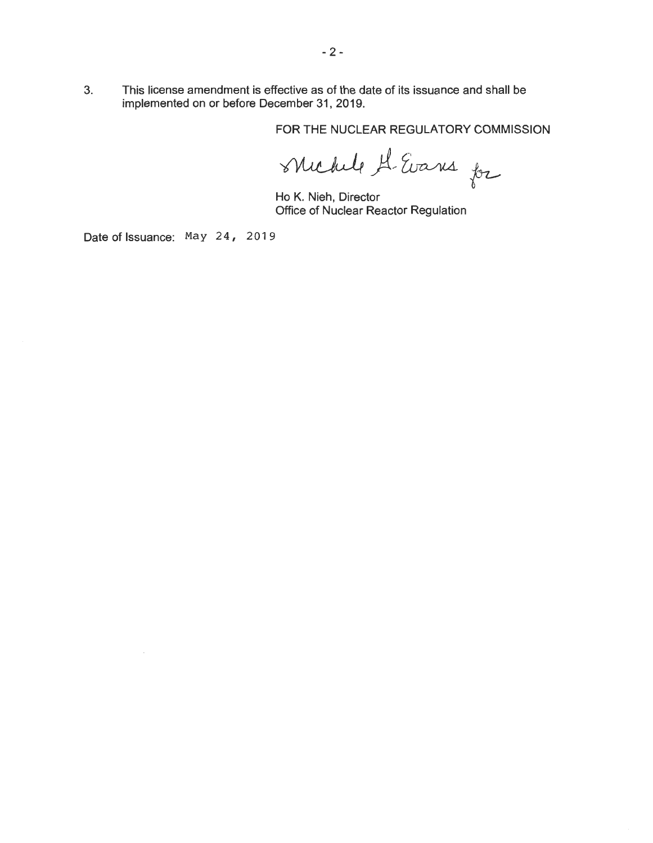3. This license amendment is effective as of the date of its issuance and shall be implemented on or before December 31, 2019.

FOR THE NUCLEAR REGULATORY COMMISSION

Michele A-Evans for

Ho K. Nieh, Director Office of Nuclear Reactor Regulation

Date of Issuance: May 24, 2019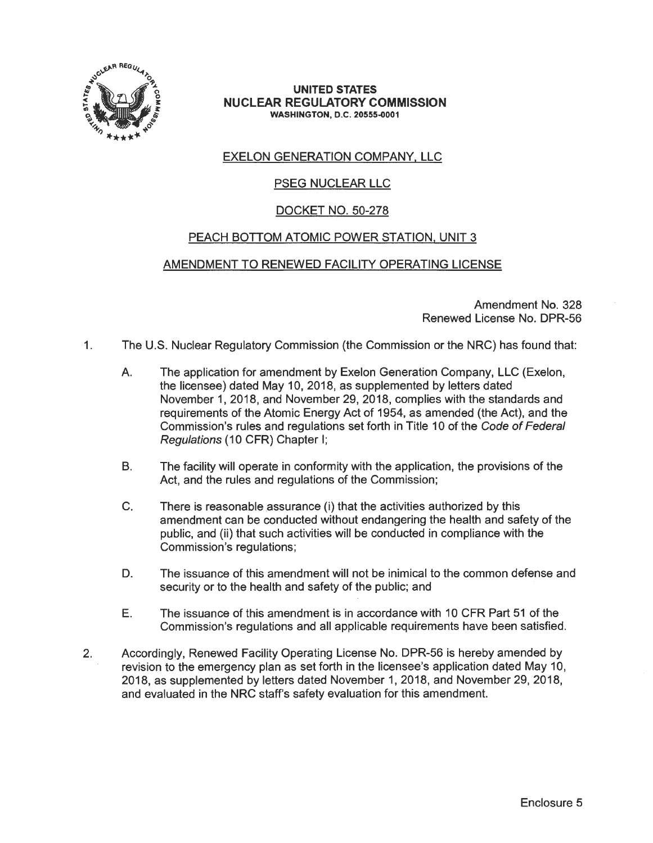

#### **UNITED STATES NUCLEAR REGULATORY COMMISSION WASHINGTON, D.C. 20555-0001**

# EXELON GENERATION COMPANY, LLC

# PSEG NUCLEAR LLC

# DOCKET NO. 50-278

# PEACH BOTTOM ATOMIC POWER STATION, UNIT 3

#### AMENDMENT TO RENEWED FACILITY OPERATING LICENSE

Amendment No. 328 Renewed License No. DPR-56

- 1. The U.S. Nuclear Regulatory Commission (the Commission or the NRC) has found that:
	- A. The application for amendment by Exelon Generation Company, LLC (Exelon, the licensee) dated May 10, 2018, as supplemented by letters dated November 1, 2018, and November 29, 2018, complies with the standards and requirements of the Atomic Energy Act of 1954, as amended (the Act), and the Commission's rules and regulations set forth in Title 10 of the Code of Federal Regulations (10 CFR) Chapter I;
	- B. The facility will operate in conformity with the application, the provisions of the Act, and the rules and regulations of the Commission;
	- C. There is reasonable assurance (i) that the activities authorized by this amendment can be conducted without endangering the health and safety of the public, and (ii) that such activities will be conducted in compliance with the Commission's regulations;
	- D. The issuance of this amendment will not be inimical to the common defense and security or to the health and safety of the public; and
	- E. The issuance of this amendment is in accordance with 10 CFR Part 51 of the Commission's regulations and all applicable requirements have been satisfied.
- 2. Accordingly, Renewed Facility Operating License No. DPR-56 is hereby amended by revision to the emergency plan as set forth in the licensee's application dated May 10, 2018, as supplemented by letters dated November 1, 2018, and November 29, 2018, and evaluated in the NRC staff's safety evaluation for this amendment.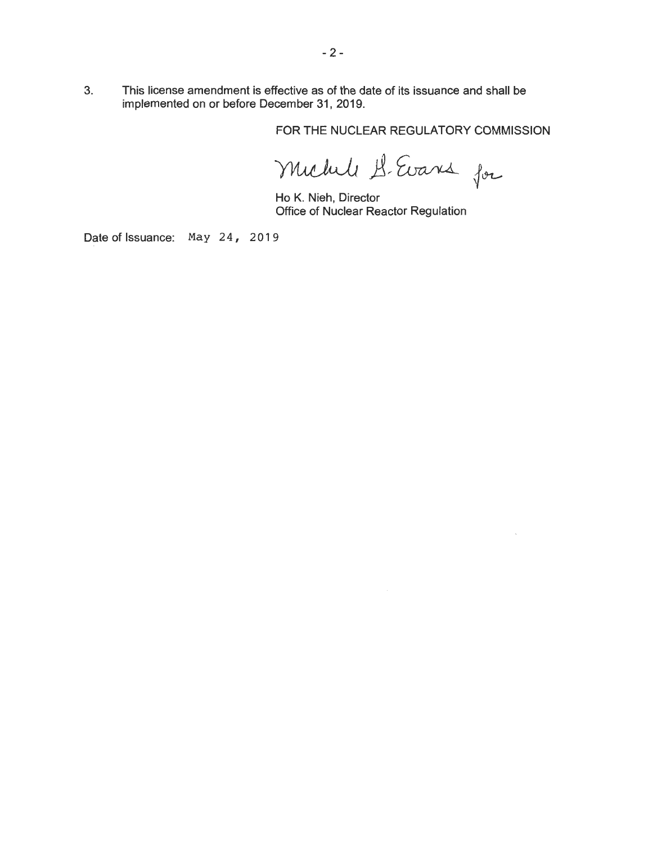3. This license amendment is effective as of the date of its issuance and shall be implemented on or before December 31, 2019.

FOR THE NUCLEAR REGULATORY COMMISSION

Michele A-Evans for

Ho K. Nieh, Director Office of Nuclear Reactor Regulation

Date of Issuance: May 24, 2019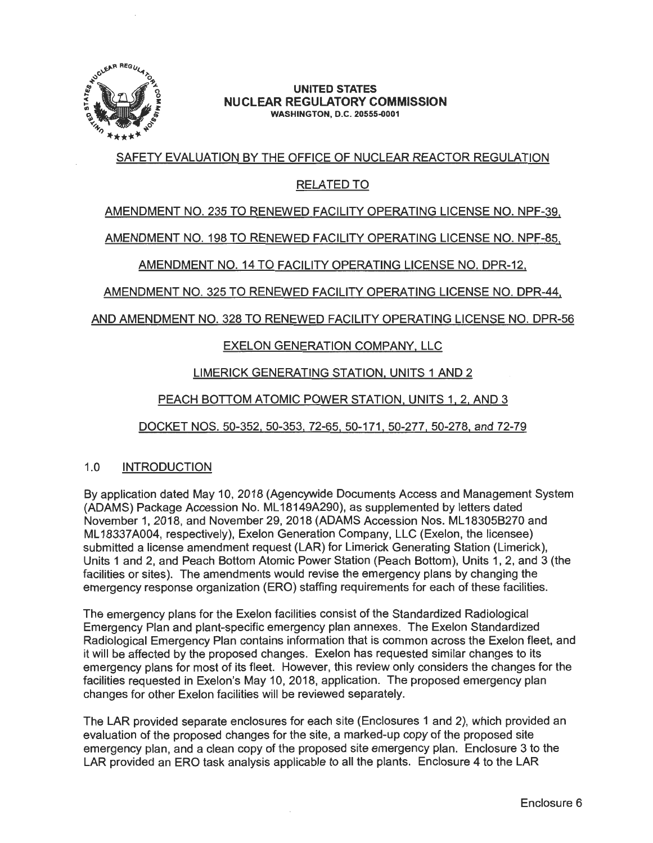

#### **UNITED STATES NUCLEAR REGULATORY COMMISSION WASHINGTON, D.C. 20555-0001**

# SAFETY EVALUATION BY THE OFFICE OF NUCLEAR REACTOR REGULATION

# RELATED TO

# AMENDMENT NO. 235 TO RENEWED FACILITY OPERATING LICENSE NO. NPF-39,

# AMENDMENT NO. 198 TO RENEWED FACILITY OPERATING LICENSE NO. NPF-85,

# AMENDMENT NO. 14 TO FACILITY OPERATING LICENSE NO. DPR-12,

# AMENDMENT NO. 325 TO RENEWED FACILITY OPERATING LICENSE NO. DPR-44,

AND AMENDMENT NO. 328 TO RENEWED FACILITY OPERATING LICENSE NO. DPR-56

# EXELON GENERATION COMPANY, LLC

# LIMERICK GENERATING STATION, UNITS 1 AND 2

# PEACH BOTTOM ATOMIC POWER STATION, UNITS 1, 2, AND 3

DOCKET NOS. 50-352, 50-353, 72-65, 50-171, 50-277, 50-278, and 72-79

# 1.0 INTRODUCTION

By application dated May 10, 2018 (Agencywide Documents Access and Management System (ADAMS) Package Accession No. ML 18149A290), as supplemented by letters dated November 1, 2018, and November 29, 2018 (ADAMS Accession Nos. ML 18305B270 and ML 18337A004, respectively), Exelon Generation Company, LLC (Exelon, the licensee) submitted a license amendment request (LAR) for Limerick Generating Station (Limerick), Units 1 and 2, and Peach Bottom Atomic Power Station (Peach Bottom), Units 1, 2, and 3 (the facilities or sites). The amendments would revise the emergency plans by changing the emergency response organization (ERO) staffing requirements for each of these facilities.

The emergency plans for the Exelon facilities consist of the Standardized Radiological Emergency Plan and plant-specific emergency plan annexes. The Exelon Standardized Radiological Emergency Plan contains information that is common across the Exelon fleet, and it will be affected by the proposed changes. Exelon has requested similar changes to its emergency plans for most of its fleet. However, this review only considers the changes for the facilities requested in Exelon's May 10, 2018, application. The proposed emergency plan changes for other Exelon facilities will be reviewed separately.

The LAR provided separate enclosures for each site (Enclosures 1 and 2), which provided an evaluation of the proposed changes for the site, a marked-up copy of the proposed site emergency plan, and a clean copy of the proposed site emergency plan. Enclosure 3 to the LAR provided an ERO task analysis applicable to all the plants. Enclosure 4 to the LAR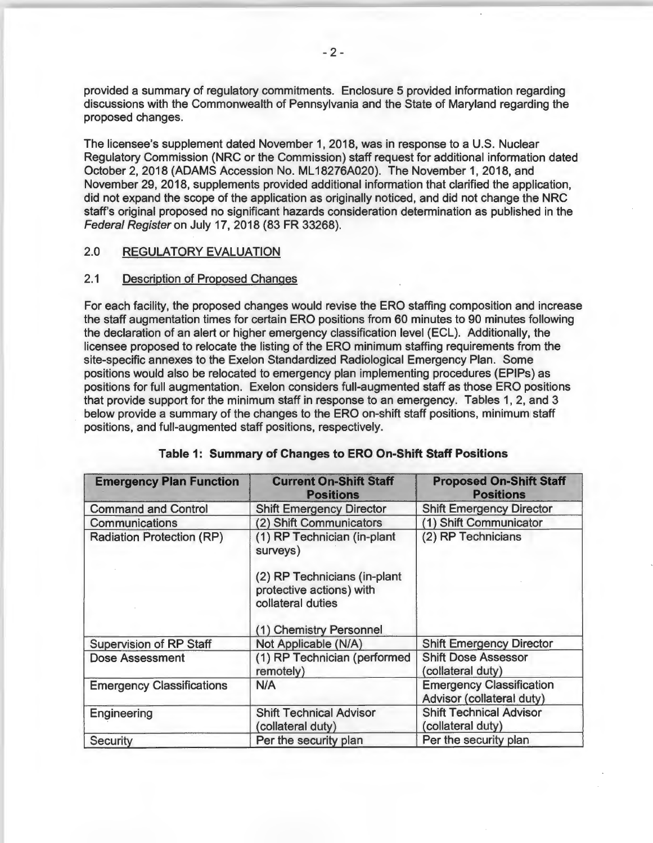provided a summary of regulatory commitments. Enclosure 5 provided information regarding discussions with the Commonwealth of Pennsylvania and the State of Maryland regarding the proposed changes.

The licensee's supplement dated November 1, 2018, was in response to a U.S. Nuclear Regulatory Commission (NRC or the Commission) staff request for additional information dated October 2, 2018 (ADAMS Accession No. ML 18276A020). The November 1, 2018, and November 29, 2018, supplements provided additional information that clarified the application, did not expand the scope of the application as originally noticed, and did not change the NRC staff's original proposed no significant hazards consideration determination as published in the Federal Register on July 17, 2018 (83 FR 33268).

#### 2.0 REGULATORY EVALUATION

#### 2.1 Description of Proposed Changes

For each facility, the proposed changes would revise the ERO staffing composition and increase the staff augmentation times for certain ERO positions from 60 minutes to 90 minutes following the declaration of an alert or higher emergency classification level (ECL). Additionally, the licensee proposed to relocate the listing of the ERO minimum staffing requirements from the site-specific annexes to the Exelon Standardized Radiological Emergency Plan. Some positions would also be relocated to emergency plan implementing procedures (EPIPs) as positions for full augmentation. Exelon considers full-augmented staff as those ERO positions that provide support for the minimum staff in response to an emergency. Tables 1, 2, and 3 below provide a summary of the changes to the ERO on-shift staff positions, minimum staff positions, and full-augmented staff positions, respectively.

| <b>Emergency Plan Function</b>   | <b>Current On-Shift Staff</b><br><b>Positions</b>                                                                                                   | <b>Proposed On-Shift Staff</b><br><b>Positions</b>           |
|----------------------------------|-----------------------------------------------------------------------------------------------------------------------------------------------------|--------------------------------------------------------------|
| <b>Command and Control</b>       | <b>Shift Emergency Director</b>                                                                                                                     | <b>Shift Emergency Director</b>                              |
| Communications                   | (2) Shift Communicators                                                                                                                             | (1) Shift Communicator                                       |
| <b>Radiation Protection (RP)</b> | (1) RP Technician (in-plant<br>surveys)<br>(2) RP Technicians (in-plant<br>protective actions) with<br>collateral duties<br>(1) Chemistry Personnel | (2) RP Technicians                                           |
| <b>Supervision of RP Staff</b>   | Not Applicable (N/A)                                                                                                                                | <b>Shift Emergency Director</b>                              |
| <b>Dose Assessment</b>           | (1) RP Technician (performed<br>remotely)                                                                                                           | <b>Shift Dose Assessor</b><br>(collateral duty)              |
| <b>Emergency Classifications</b> | N/A                                                                                                                                                 | <b>Emergency Classification</b><br>Advisor (collateral duty) |
| <b>Engineering</b>               | <b>Shift Technical Advisor</b><br>(collateral duty)                                                                                                 | <b>Shift Technical Advisor</b><br>(collateral duty)          |
| <b>Security</b>                  | Per the security plan                                                                                                                               | Per the security plan                                        |

#### **Table 1: Summary of Changes to ERO On-Shift Staff Positions**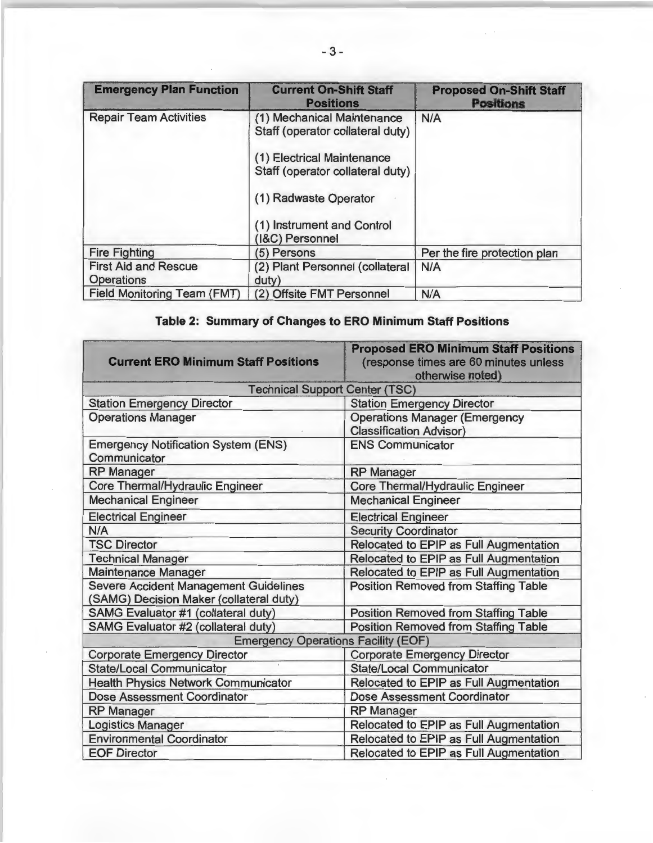| <b>Emergency Plan Function</b>                   | <b>Current On-Shift Staff</b><br><b>Positions</b>                                            | <b>Proposed On-Shift Staff</b><br><b>Positions</b> |  |
|--------------------------------------------------|----------------------------------------------------------------------------------------------|----------------------------------------------------|--|
| <b>Repair Team Activities</b>                    | (1) Mechanical Maintenance<br>Staff (operator collateral duty)<br>(1) Electrical Maintenance | N/A                                                |  |
|                                                  | Staff (operator collateral duty)                                                             |                                                    |  |
|                                                  | (1) Radwaste Operator                                                                        |                                                    |  |
|                                                  | (1) Instrument and Control<br>(I&C) Personnel                                                |                                                    |  |
| <b>Fire Fighting</b>                             | (5) Persons                                                                                  | Per the fire protection plan                       |  |
| <b>First Aid and Rescue</b><br><b>Operations</b> | (2) Plant Personnel (collateral<br>duty)                                                     | N/A                                                |  |
| <b>Field Monitoring Team (FMT)</b>               | (2) Offsite FMT Personnel                                                                    | N/A                                                |  |

# **Table 2: Summary of Changes to ERO Minimum Staff Positions**

|                                              | <b>Proposed ERO Minimum Staff Positions</b> |  |
|----------------------------------------------|---------------------------------------------|--|
| <b>Current ERO Minimum Staff Positions</b>   | (response times are 60 minutes unless       |  |
|                                              | otherwise noted)                            |  |
| <b>Technical Support Center (TSC)</b>        |                                             |  |
| <b>Station Emergency Director</b>            | <b>Station Emergency Director</b>           |  |
| <b>Operations Manager</b>                    | <b>Operations Manager (Emergency</b>        |  |
|                                              | <b>Classification Advisor)</b>              |  |
| <b>Emergency Notification System (ENS)</b>   | <b>ENS Communicator</b>                     |  |
| Communicator                                 |                                             |  |
| <b>RP Manager</b>                            | <b>RP Manager</b>                           |  |
| Core Thermal/Hydraulic Engineer              | Core Thermal/Hydraulic Engineer             |  |
| <b>Mechanical Engineer</b>                   | <b>Mechanical Engineer</b>                  |  |
| <b>Electrical Engineer</b>                   | <b>Electrical Engineer</b>                  |  |
| N/A                                          | <b>Security Coordinator</b>                 |  |
| <b>TSC Director</b>                          | Relocated to EPIP as Full Augmentation      |  |
| <b>Technical Manager</b>                     | Relocated to EPIP as Full Augmentation      |  |
| <b>Maintenance Manager</b>                   | Relocated to EPIP as Full Augmentation      |  |
| <b>Severe Accident Management Guidelines</b> | <b>Position Removed from Staffing Table</b> |  |
| (SAMG) Decision Maker (collateral duty)      |                                             |  |
| SAMG Evaluator #1 (collateral duty)          | <b>Position Removed from Staffing Table</b> |  |
| SAMG Evaluator #2 (collateral duty)          | <b>Position Removed from Staffing Table</b> |  |
| <b>Emergency Operations Facility (EOF)</b>   |                                             |  |
| <b>Corporate Emergency Director</b>          | <b>Corporate Emergency Director</b>         |  |
| <b>State/Local Communicator</b>              | <b>State/Local Communicator</b>             |  |
| <b>Health Physics Network Communicator</b>   | Relocated to EPIP as Full Augmentation      |  |
| <b>Dose Assessment Coordinator</b>           | <b>Dose Assessment Coordinator</b>          |  |
| <b>RP Manager</b><br><b>RP Manager</b>       |                                             |  |
| <b>Logistics Manager</b>                     | Relocated to EPIP as Full Augmentation      |  |
| <b>Environmental Coordinator</b>             | Relocated to EPIP as Full Augmentation      |  |
| <b>EOF Director</b>                          | Relocated to EPIP as Full Augmentation      |  |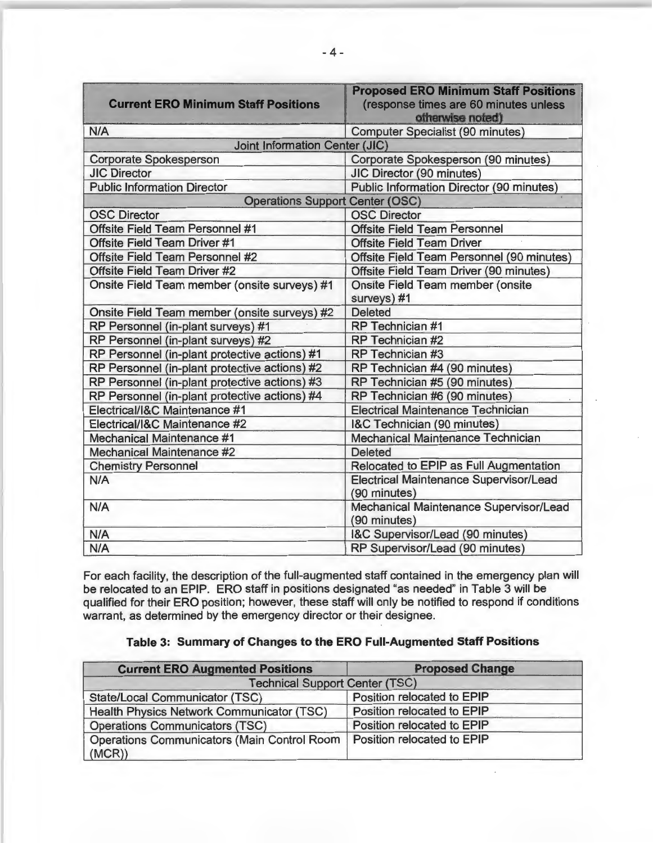| <b>Current ERO Minimum Staff Positions</b>    | <b>Proposed ERO Minimum Staff Positions</b><br>(response times are 60 minutes unless<br>otherwise noted) |  |
|-----------------------------------------------|----------------------------------------------------------------------------------------------------------|--|
| N/A                                           | <b>Computer Specialist (90 minutes)</b>                                                                  |  |
| <b>Joint Information Center (JIC)</b>         |                                                                                                          |  |
| <b>Corporate Spokesperson</b>                 | Corporate Spokesperson (90 minutes)                                                                      |  |
| <b>JIC Director</b>                           | JIC Director (90 minutes)                                                                                |  |
| <b>Public Information Director</b>            | Public Information Director (90 minutes)                                                                 |  |
| <b>Operations Support Center (OSC)</b>        |                                                                                                          |  |
| <b>OSC Director</b>                           | <b>OSC Director</b>                                                                                      |  |
| <b>Offsite Field Team Personnel #1</b>        | <b>Offsite Field Team Personnel</b>                                                                      |  |
| <b>Offsite Field Team Driver #1</b>           | <b>Offsite Field Team Driver</b>                                                                         |  |
| <b>Offsite Field Team Personnel #2</b>        | Offsite Field Team Personnel (90 minutes)                                                                |  |
| <b>Offsite Field Team Driver #2</b>           | Offsite Field Team Driver (90 minutes)                                                                   |  |
| Onsite Field Team member (onsite surveys) #1  | <b>Onsite Field Team member (onsite</b><br>surveys) #1                                                   |  |
| Onsite Field Team member (onsite surveys) #2  | <b>Deleted</b>                                                                                           |  |
| RP Personnel (in-plant surveys) #1            | RP Technician #1                                                                                         |  |
| RP Personnel (in-plant surveys) #2            | RP Technician #2                                                                                         |  |
| RP Personnel (in-plant protective actions) #1 | RP Technician #3                                                                                         |  |
| RP Personnel (in-plant protective actions) #2 | RP Technician #4 (90 minutes)                                                                            |  |
| RP Personnel (in-plant protective actions) #3 | RP Technician #5 (90 minutes)                                                                            |  |
| RP Personnel (in-plant protective actions) #4 | RP Technician #6 (90 minutes)                                                                            |  |
| Electrical/I&C Maintenance #1                 | <b>Electrical Maintenance Technician</b>                                                                 |  |
| Electrical/I&C Maintenance #2                 | I&C Technician (90 minutes)                                                                              |  |
| <b>Mechanical Maintenance #1</b>              | <b>Mechanical Maintenance Technician</b>                                                                 |  |
| <b>Mechanical Maintenance #2</b>              | <b>Deleted</b>                                                                                           |  |
| <b>Chemistry Personnel</b>                    | Relocated to EPIP as Full Augmentation                                                                   |  |
| N/A                                           | <b>Electrical Maintenance Supervisor/Lead</b><br>(90 minutes)                                            |  |
| N/A                                           | Mechanical Maintenance Supervisor/Lead<br>(90 minutes)                                                   |  |
| N/A                                           | I&C Supervisor/Lead (90 minutes)                                                                         |  |
| N/A                                           | RP Supervisor/Lead (90 minutes)                                                                          |  |

For each facility, the description of the full-augmented staff contained in the emergency plan will be relocated to an EPIP. ERO staff in positions designated "as needed" in Table 3 will be qualified for their ERO position; however, these staff will only be notified to respond if conditions warrant, as determined by the emergency director or their designee.

# **Table 3: Summary of Changes to the ERO Full-Augmented Staff Positions**

| <b>Current ERO Augmented Positions</b>                                            | <b>Proposed Change</b>     |  |
|-----------------------------------------------------------------------------------|----------------------------|--|
| <b>Technical Support Center (TSC)</b>                                             |                            |  |
| State/Local Communicator (TSC)                                                    | Position relocated to EPIP |  |
| <b>Health Physics Network Communicator (TSC)</b>                                  | Position relocated to EPIP |  |
| <b>Operations Communicators (TSC)</b>                                             | Position relocated to EPIP |  |
| Operations Communicators (Main Control Room   Position relocated to EPIP<br>(MCR) |                            |  |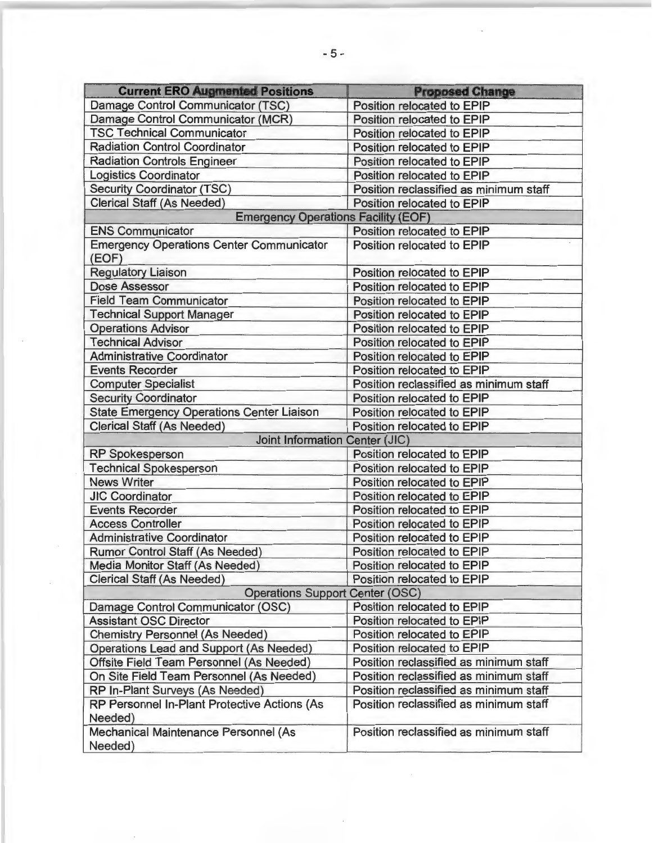| <b>Current ERO Augmented Positions</b>                   | <b>Proposed Change</b>                 |  |  |
|----------------------------------------------------------|----------------------------------------|--|--|
| Damage Control Communicator (TSC)                        | Position relocated to EPIP             |  |  |
| Damage Control Communicator (MCR)                        | Position relocated to EPIP             |  |  |
| <b>TSC Technical Communicator</b>                        | Position relocated to EPIP             |  |  |
| <b>Radiation Control Coordinator</b>                     | Position relocated to EPIP             |  |  |
| <b>Radiation Controls Engineer</b>                       | Position relocated to EPIP             |  |  |
| <b>Logistics Coordinator</b>                             | Position relocated to EPIP             |  |  |
| <b>Security Coordinator (TSC)</b>                        | Position reclassified as minimum staff |  |  |
| <b>Clerical Staff (As Needed)</b>                        | Position relocated to EPIP             |  |  |
| <b>Emergency Operations Facility (EOF)</b>               |                                        |  |  |
| <b>ENS Communicator</b>                                  | Position relocated to EPIP             |  |  |
| <b>Emergency Operations Center Communicator</b><br>(EOF) | Position relocated to EPIP             |  |  |
| <b>Regulatory Liaison</b>                                | Position relocated to EPIP             |  |  |
| <b>Dose Assessor</b>                                     | Position relocated to EPIP             |  |  |
| <b>Field Team Communicator</b>                           | Position relocated to EPIP             |  |  |
| <b>Technical Support Manager</b>                         | Position relocated to EPIP             |  |  |
| <b>Operations Advisor</b>                                | Position relocated to EPIP             |  |  |
| <b>Technical Advisor</b>                                 | Position relocated to EPIP             |  |  |
| <b>Administrative Coordinator</b>                        | Position relocated to EPIP             |  |  |
| <b>Events Recorder</b>                                   | Position relocated to EPIP             |  |  |
| <b>Computer Specialist</b>                               | Position reclassified as minimum staff |  |  |
| <b>Security Coordinator</b>                              | Position relocated to EPIP             |  |  |
| <b>State Emergency Operations Center Liaison</b>         | Position relocated to EPIP             |  |  |
| <b>Clerical Staff (As Needed)</b>                        | Position relocated to EPIP             |  |  |
| Joint Information Center (JIC)                           |                                        |  |  |
| <b>RP Spokesperson</b>                                   | Position relocated to EPIP             |  |  |
| <b>Technical Spokesperson</b>                            | Position relocated to EPIP             |  |  |
| <b>News Writer</b>                                       | Position relocated to EPIP             |  |  |
| <b>JIC Coordinator</b>                                   | Position relocated to EPIP             |  |  |
| <b>Events Recorder</b>                                   | Position relocated to EPIP             |  |  |
| <b>Access Controller</b>                                 | Position relocated to EPIP             |  |  |
| <b>Administrative Coordinator</b>                        | Position relocated to EPIP             |  |  |
| Rumor Control Staff (As Needed)                          | Position relocated to EPIP             |  |  |
| Media Monitor Staff (As Needed)                          | Position relocated to EPIP             |  |  |
| <b>Clerical Staff (As Needed)</b>                        | Position relocated to EPIP             |  |  |
| <b>Operations Support Center (OSC)</b>                   |                                        |  |  |
| Damage Control Communicator (OSC)                        | Position relocated to EPIP             |  |  |
| <b>Assistant OSC Director</b>                            | Position relocated to EPIP             |  |  |
| <b>Chemistry Personnel (As Needed)</b>                   | Position relocated to EPIP             |  |  |
| Operations Lead and Support (As Needed)                  | Position relocated to EPIP             |  |  |
| Offsite Field Team Personnel (As Needed)                 | Position reclassified as minimum staff |  |  |
| On Site Field Team Personnel (As Needed)                 | Position reclassified as minimum staff |  |  |
| RP In-Plant Surveys (As Needed)                          | Position reclassified as minimum staff |  |  |
| RP Personnel In-Plant Protective Actions (As             | Position reclassified as minimum staff |  |  |
| Needed)                                                  |                                        |  |  |
| Mechanical Maintenance Personnel (As                     | Position reclassified as minimum staff |  |  |
| Needed)                                                  |                                        |  |  |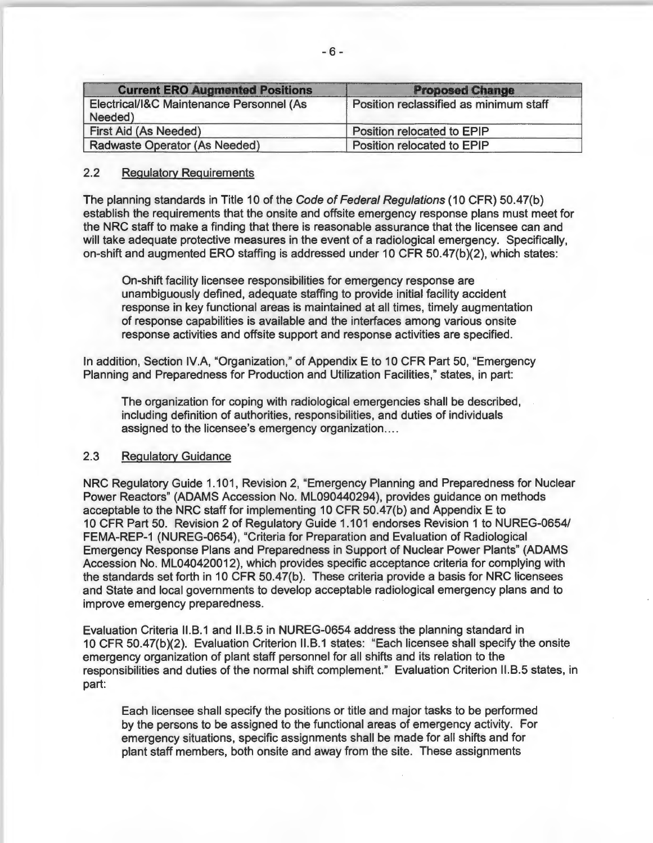| <b>Current ERO Augmented Positions</b>              | <b>Proposed Change</b>                 |
|-----------------------------------------------------|----------------------------------------|
| Electrical/I&C Maintenance Personnel (As<br>Needed) | Position reclassified as minimum staff |
| <b>First Aid (As Needed)</b>                        | Position relocated to EPIP             |
| Radwaste Operator (As Needed)                       | Position relocated to EPIP             |

## 2.2 Regulatory Requirements

The planning standards in Title 10 of the Code of Federal Regulations (10 CFR) 50.47(b) establish the requirements that the onsite and offsite emergency response plans must meet for the NRC staff to make a finding that there is reasonable assurance that the licensee can and will take adequate protective measures in the event of a radiological emergency. Specifically, on-shift and augmented ERO staffing is addressed under 10 CFR 50.47(b)(2), which states:

On-shift facility licensee responsibilities for emergency response are unambiguously defined, adequate staffing to provide initial facility accident response in key functional areas is maintained at all times, timely augmentation of response capabilities is available and the interfaces among various onsite response activities and offsite support and response activities are specified.

In addition, Section **IV.A,** "Organization," of Appendix E to 10 CFR Part 50, "Emergency Planning and Preparedness for Production and Utilization Facilities," states, in part:

The organization for coping with radiological emergencies shall be described, including definition of authorities, responsibilities, and duties of individuals assigned to the licensee's emergency organization....

#### 2.3 Regulatory Guidance

NRC Regulatory Guide 1.101, Revision 2, "Emergency Planning and Preparedness for Nuclear Power Reactors" (ADAMS Accession No. ML090440294 ), provides guidance on methods acceptable to the NRC staff for implementing 10 CFR 50.47(b) and Appendix E to 10 CFR Part 50. Revision 2 of Regulatory Guide 1.101 endorses Revision 1 to NUREG-0654/ FEMA-REP-1 (NUREG-0654), "Criteria for Preparation and Evaluation of Radiological Emergency Response Plans and Preparedness in Support of Nuclear Power Plants" (ADAMS Accession No. ML040420012), which provides specific acceptance criteria for complying with the standards set forth in 10 CFR 50.47(b). These criteria provide a basis for NRC licensees and State and local governments to develop acceptable radiological emergency plans and to improve emergency preparedness.

Evaluation Criteria 11.B.1 and 11.B.5 in NUREG-0654 address the planning standard in 10 CFR 50.47(b)(2). Evaluation Criterion 11.B.1 states: "Each licensee shall specify the onsite emergency organization of plant staff personnel for all shifts and its relation to the responsibilities and duties of the normal shift complement." Evaluation Criterion 11.B.5 states, in part:

Each licensee shall specify the positions or title and major tasks to be performed by the persons to be assigned to the functional areas of emergency activity. For emergency situations, specific assignments shall be made for all shifts and for plant staff members, both onsite and away from the site. These assignments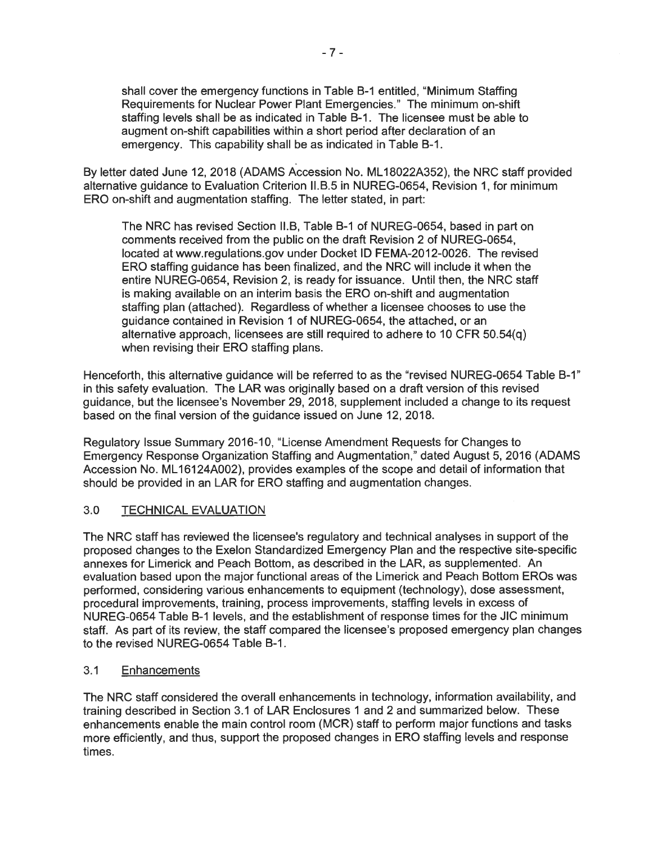shall cover the emergency functions in Table B-1 entitled, "Minimum Staffing Requirements for Nuclear Power Plant Emergencies." The minimum on-shift staffing levels shall be as indicated in Table B-1. The licensee must be able to augment on-shift capabilities within a short period after declaration of an emergency. This capability shall be as indicated in Table B-1.

By letter dated June 12, 2018 (ADAMS Accession No. ML 18022A352), the NRC staff provided alternative guidance to Evaluation Criterion 11.B.5 in NUREG-0654, Revision 1, for minimum ERO on-shift and augmentation staffing. The letter stated, in part:

The NRC has revised Section 11.B, Table B-1 of NUREG-0654, based in part on comments received from the public on the draft Revision 2 of NUREG-0654, located at www.regulations.gov under Docket ID FEMA-2012-0026. The revised ERO staffing guidance has been finalized, and the NRC will include it when the entire NUREG-0654, Revision 2, is ready for issuance. Until then, the NRC staff is making available on an interim basis the ERO on-shift and augmentation staffing plan (attached). Regardless of whether a licensee chooses to use the guidance contained in Revision 1 of NUREG-0654, the attached, or an alternative approach, licensees are still required to adhere to 10 CFR 50.54(q) when revising their ERO staffing plans.

Henceforth, this alternative guidance will be referred to as the "revised NUREG-0654 Table B-1" in this safety evaluation. The LAR was originally based on a draft version of this revised guidance, but the licensee's November 29, 2018, supplement included a change to its request based on the final version of the guidance issued on June 12, 2018.

Regulatory Issue Summary 2016-10, "License Amendment Requests for Changes to Emergency Response Organization Staffing and Augmentation," dated August 5, 2016 (ADAMS Accession No. ML 16124A002), provides examples of the scope and detail of information that should be provided in an LAR for ERO staffing and augmentation changes.

# 3.0 TECHNICAL EVALUATION

The NRC staff has reviewed the licensee's regulatory and technical analyses in support of the proposed changes to the Exelon Standardized Emergency Plan and the respective site-specific annexes for Limerick and Peach Bottom, as described in the LAR, as supplemented. An evaluation based upon the major functional areas of the Limerick and Peach Bottom EROs was performed, considering various enhancements to equipment (technology), dose assessment, procedural improvements, training, process improvements, staffing levels in excess of NUREG-0654 Table B-1 levels, and the establishment of response times for the JIC minimum staff. As part of its review, the staff compared the licensee's proposed emergency plan changes to the revised NUREG-0654 Table B-1.

# 3.1 Enhancements

The NRC staff considered the overall enhancements in technology, information availability, and training described in Section 3.1 of LAR Enclosures 1 and 2 and summarized below. These enhancements enable the main control room (MCR) staff to perform major functions and tasks more efficiently, and thus, support the proposed changes in ERO staffing levels and response times.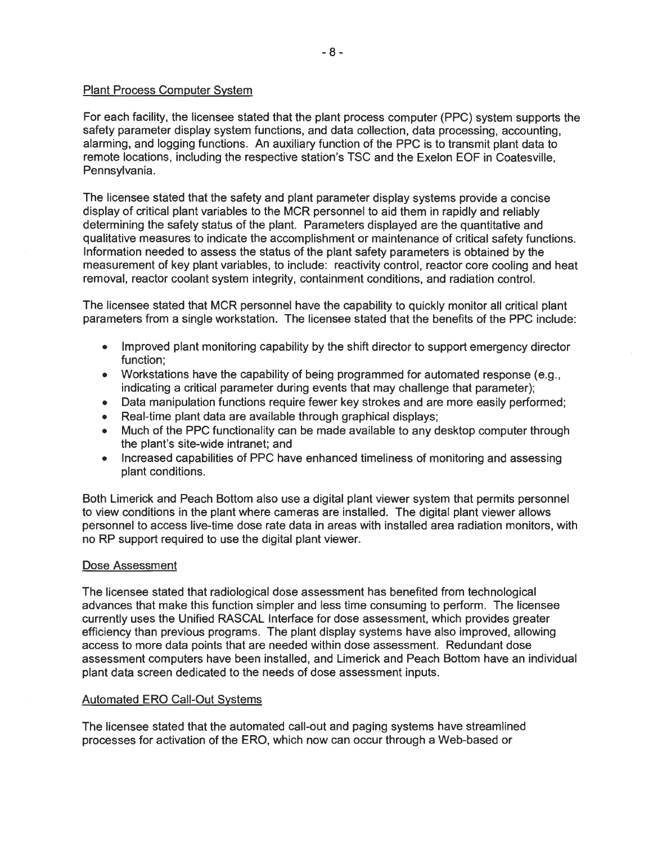#### Plant Process Computer System

For each facility, the licensee stated that the plant process computer (PPC) system supports the safety parameter display system functions, and data collection, data processing, accounting, alarming, and logging functions. An auxiliary function of the PPC is to transmit plant data to remote locations, including the respective station's TSC and the Exelon EOF in Coatesville, Pennsylvania.

The licensee stated that the safety and plant parameter display systems provide a concise display of critical plant variables to the MCR personnel to aid them in rapidly and reliably determining the safety status of the plant. Parameters displayed are the quantitative and qualitative measures to indicate the accomplishment or maintenance of critical safety functions. Information needed to assess the status of the plant safety parameters is obtained by the measurement of key plant variables, to include: reactivity control, reactor core cooling and heat removal, reactor coolant system integrity, containment conditions, and radiation control.

The licensee stated that MCR personnel have the capability to quickly monitor all critical plant parameters from a single workstation. The licensee stated that the benefits of the PPC include:

- Improved plant monitoring capability by the shift director to support emergency director function;
- Workstations have the capability of being programmed for automated response (e.g., indicating a critical parameter during events that may challenge that parameter);
- Data manipulation functions require fewer key strokes and are more easily performed;
- Real-time plant data are available through graphical displays;
- Much of the PPC functionality can be made available to any desktop computer through the plant's site-wide intranet; and
- Increased capabilities of PPC have enhanced timeliness of monitoring and assessing plant conditions.

Both Limerick and Peach Bottom also use a digital plant viewer system that permits personnel to view conditions in the plant where cameras are installed. The digital plant viewer allows personnel to access live-time dose rate data in areas with installed area radiation monitors, with no RP support required to use the digital plant viewer.

#### Dose Assessment

The licensee stated that radiological dose assessment has benefited from technological advances that make this function simpler and less time consuming to perform. The licensee currently uses the Unified RASCAL Interface for dose assessment, which provides greater efficiency than previous programs. The plant display systems have also improved, allowing access to more data points that are needed within dose assessment. Redundant dose assessment computers have been installed, and Limerick and Peach Bottom have an individual plant data screen dedicated to the needs of dose assessment inputs.

#### Automated ERO Call-Out Systems

The licensee stated that the automated call-out and paging systems have streamlined processes for activation of the ERO, which now can occur through a Web-based or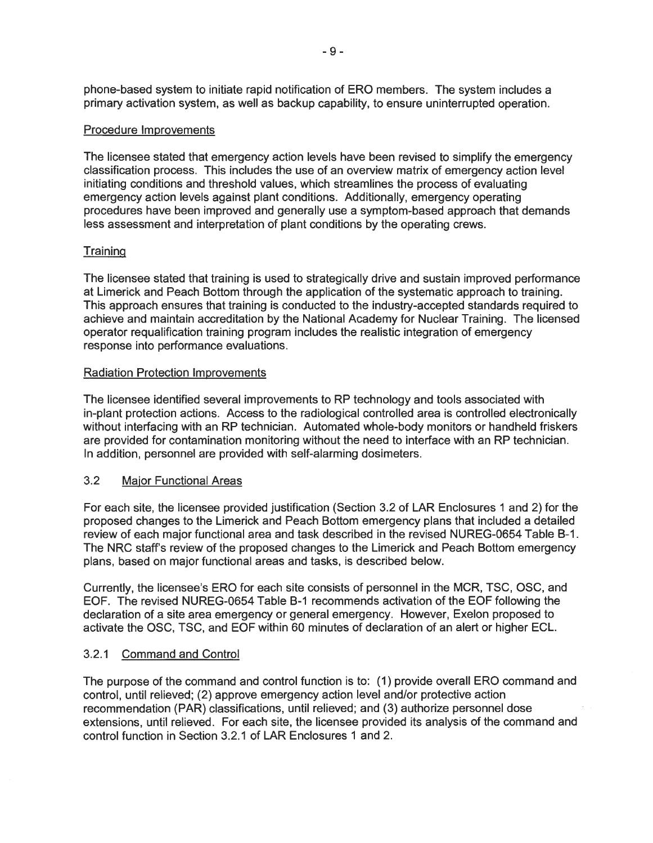phone-based system to initiate rapid notification of ERO members. The system includes a primary activation system, as well as backup capability, to ensure uninterrupted operation.

#### Procedure Improvements

The licensee stated that emergency action levels have been revised to simplify the emergency classification process. This includes the use of an overview matrix of emergency action level initiating conditions and threshold values, which streamlines the process of evaluating emergency action levels against plant conditions. Additionally, emergency operating procedures have been improved and generally use a symptom-based approach that demands less assessment and interpretation of plant conditions by the operating crews.

#### **Training**

The licensee stated that training is used to strategically drive and sustain improved performance at Limerick and Peach Bottom through the application of the systematic approach to training. This approach ensures that training is conducted to the industry-accepted standards required to achieve and maintain accreditation by the National Academy for Nuclear Training. The licensed operator requalification training program includes the realistic integration of emergency response into performance evaluations.

#### Radiation Protection Improvements

The licensee identified several improvements to **RP** technology and tools associated with in-plant protection actions. Access to the radiological controlled area is controlled electronically without interfacing with an RP technician. Automated whole-body monitors or handheld friskers are provided for contamination monitoring without the need to interface with an RP technician. In addition, personnel are provided with self-alarming dosimeters.

# 3.2 Major Functional Areas

For each site, the licensee provided justification (Section 3.2 of LAR Enclosures 1 and 2) for the proposed changes to the Limerick and Peach Bottom emergency plans that included a detailed review of each major functional area and task described in the revised NUREG-0654 Table B-1. The NRC staff's review of the proposed changes to the Limerick and Peach Bottom emergency plans, based on major functional areas and tasks, is described below.

Currently, the licensee's ERO for each site consists of personnel in the MCR, TSC, OSC, and EOF. The revised NUREG-0654 Table B-1 recommends activation of the EOF following the declaration of a site area emergency or general emergency. However, Exelon proposed to activate the OSC, TSC, and EOF within 60 minutes of declaration of an alert or higher ECL.

# 3.2.1 Command and Control

The purpose of the command and control function is to: (1) provide overall ERO command and control, until relieved; (2) approve emergency action level and/or protective action recommendation (PAR) classifications, until relieved; and (3) authorize personnel dose extensions, until relieved. For each site, the licensee provided its analysis of the command and control function in Section 3.2.1 of LAR Enclosures 1 and 2.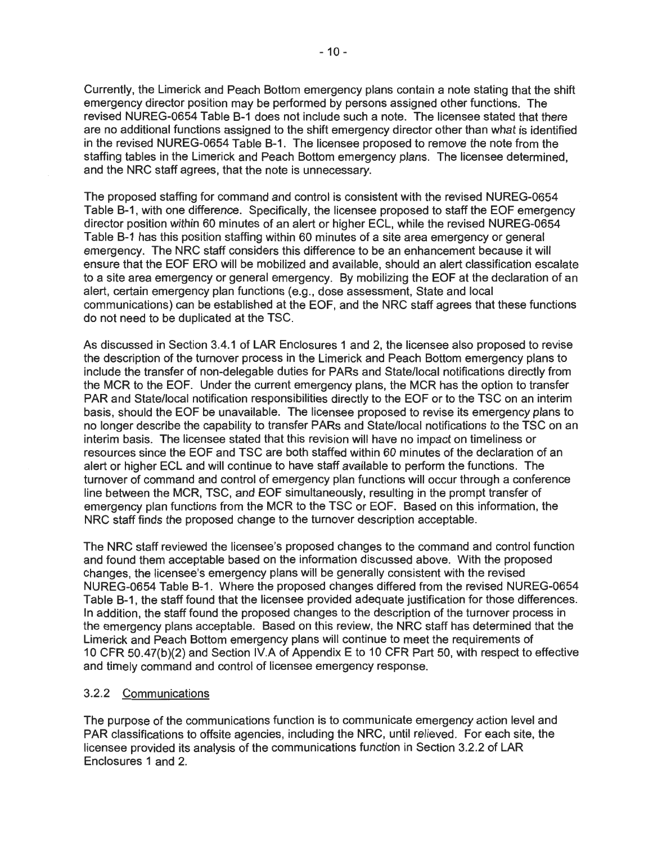Currently, the Limerick and Peach Bottom emergency plans contain a note stating that the shift emergency director position may be performed by persons assigned other functions. The revised NUREG-0654 Table B-1 does not include such a note. The licensee stated that there are no additional functions assigned to the shift emergency director other than what is identified in the revised NUREG-0654 Table B-1. The licensee proposed to remove the note from the staffing tables in the Limerick and Peach Bottom emergency plans. The licensee determined, and the NRC staff agrees, that the note is unnecessary.

The proposed staffing for command and control is consistent with the revised NUREG-0654 Table B-1, with one difference. Specifically, the licensee proposed to staff the EOF emergency director position within 60 minutes of an alert or higher ECL, while the revised NUREG-0654 Table B-1 has this position staffing within 60 minutes of a site area emergency or general emergency. The NRC staff considers this difference to be an enhancement because it will ensure that the EOF ERO will be mobilized and available, should an alert classification escalate to a site area emergency or general emergency. By mobilizing the EOF at the declaration of an alert, certain emergency plan functions (e.g., dose assessment, State and local communications) can be established at the EOF, and the NRC staff agrees that these functions do not need to be duplicated at the TSC.

As discussed in Section 3.4.1 of LAR Enclosures 1 and 2, the licensee also proposed to revise the description of the turnover process in the Limerick and Peach Bottom emergency plans to include the transfer of non-delegable duties for PARs and State/local notifications directly from the MCR to the EOF. Under the current emergency plans, the MCR has the option to transfer PAR and State/local notification responsibilities directly to the EOF or to the TSC on an interim basis, should the EOF be unavailable. The licensee proposed to revise its emergency plans to no longer describe the capability to transfer PARs and State/local notifications to the TSC on an interim basis. The licensee stated that this revision will have no impact on timeliness or resources since the EOF and TSC are both staffed within 60 minutes of the declaration of an alert or higher ECL and will continue to have staff available to perform the functions. The turnover of command and control of emergency plan functions will occur through a conference line between the MCR, TSC, and EOF simultaneously, resulting in the prompt transfer of emergency plan functions from the MCR to the TSC or EOF. Based on this information, the NRC staff finds the proposed change to the turnover description acceptable.

The NRC staff reviewed the licensee's proposed changes to the command and-control function and found them acceptable based on the information discussed above. With the proposed changes, the licensee's emergency plans will be generally consistent with the revised NUREG-0654 Table B-1. Where the proposed changes differed from the revised NUREG-0654 Table B-1, the staff found that the licensee provided adequate justification for those differences. In addition, the staff found the proposed changes to the description of the turnover process in the emergency plans acceptable. Based on this review, the NRC staff has determined that the Limerick and Peach Bottom emergency plans will continue to meet the requirements of 10 CFR 50.47(b)(2) and Section IV.A of Appendix E to 10 CFR Part 50, with respect to effective and timely command and control of licensee emergency response.

#### 3.2.2 Communications

The purpose of the communications function is to communicate emergency action level and PAR classifications to offsite agencies, including the NRC, until relieved. For each site, the licensee provided its analysis of the communications function in Section 3.2.2 of LAR Enclosures 1 and 2.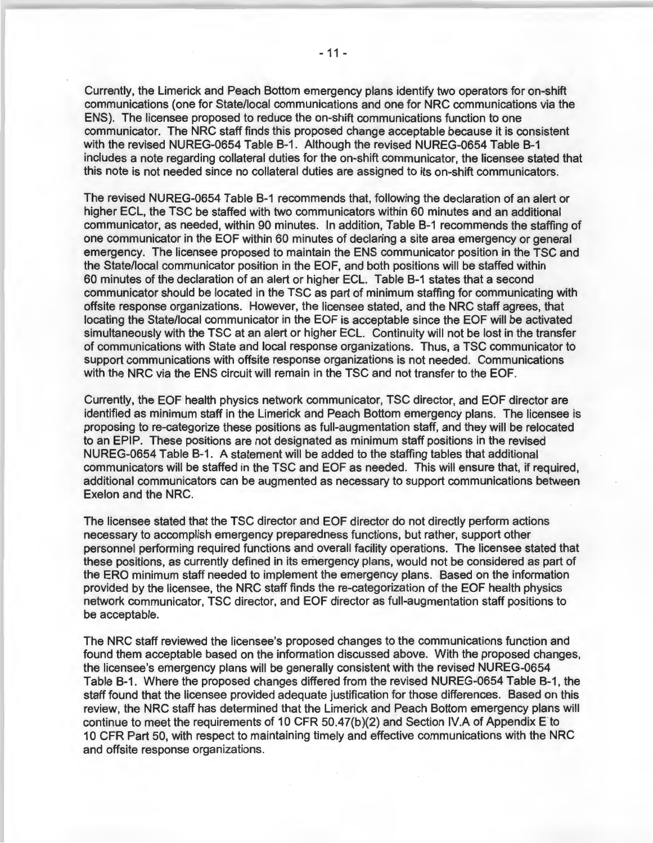Currently, the Limerick and Peach Bottom emergency plans identify two operators for on-shift communications (one for State/local communications and one for NRC communications via the ENS). The licensee proposed to reduce the on-shift communications function to one communicator. The NRC staff finds this proposed change acceptable because it is consistent with the revised NUREG-0654 Table B-1. Although the revised NUREG-0654 Table B-1 includes a note regarding collateral duties for the on-shift communicator, the licensee stated that this note is not needed since no collateral duties are assigned to its on-shift communicators.

The revised NUREG-0654 Table B-1 recommends that, following the declaration of an alert or higher ECL, the TSC be staffed with two communicators within 60 minutes and an additional communicator, as needed, within 90 minutes. In addition, Table B-1 recommends the staffing of one communicator in the EOF within 60 minutes of declaring a site area emergency or general emergency. The licensee proposed to maintain the ENS communicator position in the TSC and the State/local communicator position in the EOF, and both positions will be staffed within 60 minutes of the declaration of an alert or higher ECL. Table B-1 states that a second communicator should be located in the TSC as part of minimum staffing for communicating with offsite response organizations. However, the licensee stated, and the NRC staff agrees, that locating the State/local communicator in the EOF is acceptable since the EOF will be activated simultaneously with the TSC at an alert or higher ECL. Continuity will not be lost in the transfer of communications with State and local response organizations. Thus, a TSC communicator to support communications with offsite response organizations is not needed. Communications with the NRC via the ENS circuit will remain in the TSC and not transfer to the EOF.

Currently, the EOF health physics network communicator, TSC director, and EOF director are identified as minimum staff in the Limerick and Peach Bottom emergency plans. The licensee is proposing to re-categorize these positions as full-augmentation staff, and they will be relocated to an EPIP. These positions are not designated as minimum staff positions in the revised NUREG-0654 Table B-1. A statement will be added to the staffing tables that additional communicators will be staffed in the TSC and EOF as needed. This will ensure that, if required, additional communicators can be augmented as necessary to support communications between Exelon and the NRC.

The licensee stated that the TSC director and EOF director do not directly perform actions necessary to accomplish emergency preparedness functions, but rather, support other personnel performing required functions and overall facility operations. The licensee stated that these positions, as currently defined in its emergency plans, would not be considered as part of the ERO minimum staff needed to implement the emergency plans. Based on the information provided by the licensee, the NRC staff finds the re-categorization of the EOF health physics network communicator, TSC director, and EOF director as full-augmentation staff positions to be acceptable.

The NRC staff reviewed the licensee's proposed changes to the communications function and found them acceptable based on the information discussed above. With the proposed changes, the licensee's emergency plans will be generally consistent with the revised NUREG-0654 Table B-1. Where the proposed changes differed from the revised NUREG-0654 Table B-1, the staff found that the licensee provided adequate justification for those differences. Based on this review, the NRC staff has determined that the Limerick and Peach Bottom emergency plans will continue to meet the requirements of 10 CFR 50.47(b)(2) and Section IV.A of Appendix E to 10 CFR Part 50, with respect to maintaining timely and effective communications with the NRC and offsite response organizations.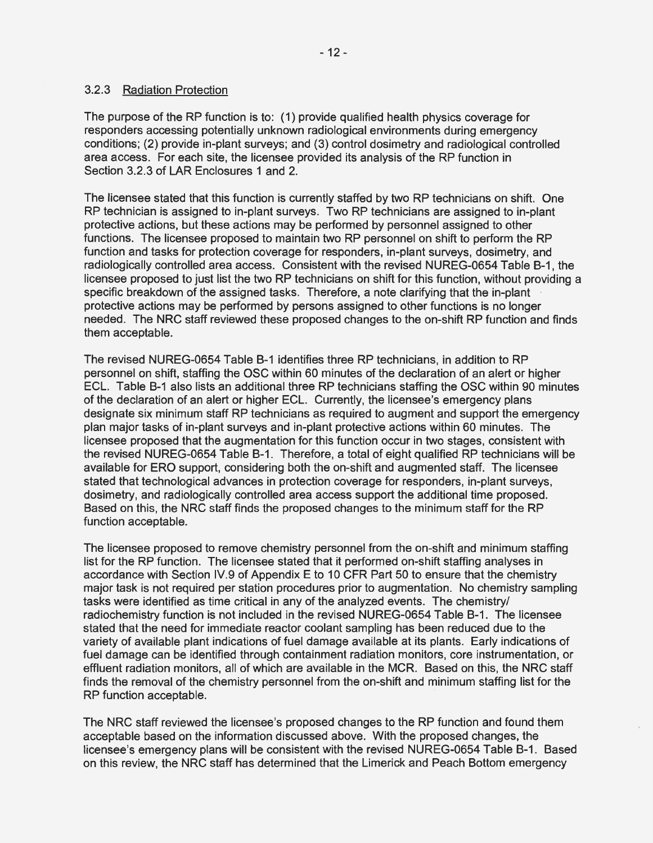#### 3.2.3 Radiation Protection

The purpose of the RP function is to: (1) provide qualified health physics coverage for responders accessing potentially unknown radiological environments during emergency conditions; (2) provide in-plant surveys; and (3) control dosimetry and radiological controlled area access. For each site, the licensee provided its analysis of the RP function in Section 3.2.3 of LAR Enclosures 1 and 2.

The licensee stated that this function is currently staffed by two RP technicians on shift. One RP technician is assigned to in-plant surveys. Two RP technicians are assigned to in-plant protective actions, but these actions may be performed by personnel assigned to other functions. The licensee proposed to maintain two RP personnel on shift to perform the RP function and tasks for protection coverage for responders, in-plant surveys, dosimetry, and radiologically controlled area access. Consistent with the revised NUREG-0654 Table B-1, the licensee proposed to just list the two RP technicians on shift for this function, without providing a specific breakdown of the assigned tasks. Therefore, a note clarifying that the in-plant protective actions may be performed by persons assigned to other functions is no longer needed. The NRC staff reviewed these proposed changes to the on-shift RP function and finds them acceptable.

The revised NUREG-0654 Table B-1 identifies three RP technicians, in addition to RP personnel on shift, staffing the OSC within 60 minutes of the declaration of an alert or higher ECL. Table B-1 also lists an additional three RP technicians staffing the OSC within 90 minutes of the declaration of an alert or higher ECL. Currently, the licensee's emergency plans designate six minimum staff RP technicians as required to augment and support the emergency plan major tasks of in-plant surveys and in-plant protective actions within 60 minutes. The licensee proposed that the augmentation for this function occur in two stages, consistent with the revised NUREG-0654 Table B-1. Therefore, a total of eight qualified RP technicians will be available for ERO support, considering both the on-shift and augmented staff. The licensee stated that technological advances in protection coverage for responders, in-plant surveys, dosimetry, and radiologically controlled area access support the additional time proposed. Based on this, the NRC staff finds the proposed changes to the minimum staff for the RP function acceptable.

The licensee proposed to remove chemistry personnel from the on-shift and minimum staffing list for the RP function. The licensee stated that it performed on-shift staffing analyses in accordance with Section IV.9 of Appendix E to 10 CFR Part 50 to ensure that the chemistry major task is not required per station procedures prior to augmentation. No chemistry sampling tasks were identified as time critical in any of the analyzed events. The chemistry/ radiochemistry function is not included in the revised NUREG-0654 Table B-1. The licensee stated that the need for immediate reactor coolant sampling has been reduced due to the variety of available plant indications of fuel damage available at its plants. Early indications of fuel damage can be identified through containment radiation monitors, core instrumentation, or effluent radiation monitors, all of which are available in the MCR. Based on this, the NRC staff finds the removal of the chemistry personnel from the on-shift and minimum staffing list for the RP function acceptable.

The NRC staff reviewed the licensee's proposed changes to the RP function and found them acceptable based on the information discussed above. With the proposed changes, the licensee's emergency plans will be consistent with the revised NUREG-0654 Table B-1 . Based on this review, the NRC staff has determined that the Limerick and Peach Bottom emergency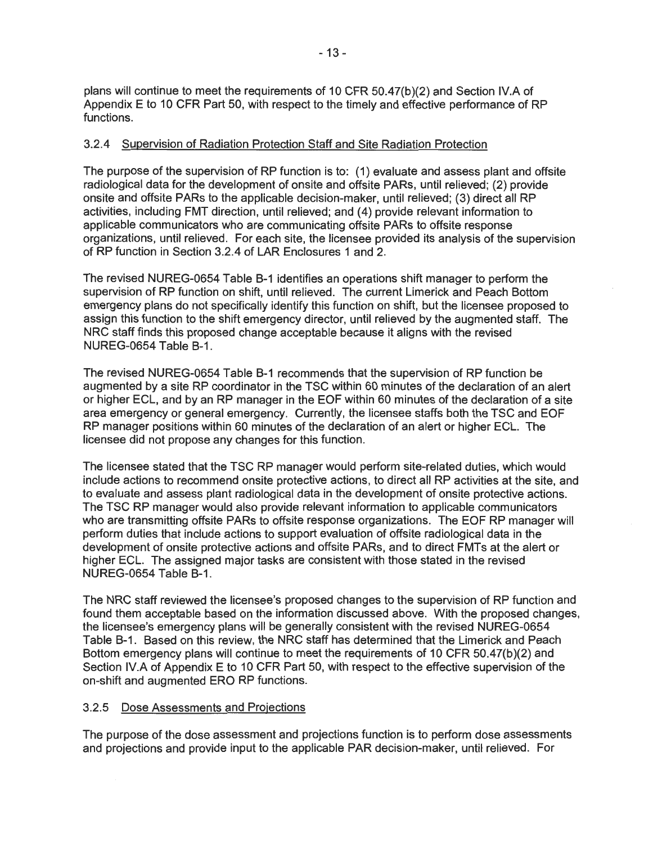plans will continue to meet the requirements of 10 CFR 50.47(b)(2) and Section IV.A of Appendix E to 10 CFR Part 50, with respect to the timely and effective performance of RP functions.

## 3.2.4 Supervision of Radiation Protection Staff and Site Radiation Protection

The purpose of the supervision of RP function is to: (1) evaluate and assess plant and offsite radiological data for the development of onsite and offsite PARs, until relieved; (2) provide onsite and offsite PARs to the applicable decision-maker, until relieved; (3) direct all RP activities, including FMT direction, until relieved; and (4) provide relevant information to applicable communicators who are communicating offsite PARs to offsite response organizations, until relieved. For each site, the licensee provided its analysis of the supervision of RP function in Section 3.2.4 of LAR Enclosures 1 and 2.

The revised NUREG-0654 Table B-1 identifies an operations shift manager to perform the supervision of RP function on shift, until relieved. The current Limerick and Peach Bottom emergency plans do not specifically identify this function on shift, but the licensee proposed to assign this function to the shift emergency director, until relieved by the augmented staff. The NRG staff finds this proposed change acceptable because it aligns with the revised NUREG-0654 Table B-1 .

The revised NUREG-0654 Table B-1 recommends that the supervision of RP function be augmented by a site RP coordinator in the TSC within 60 minutes of the declaration of an alert or higher EGL, and by an RP manager in the EOF within 60 minutes of the declaration of a site area emergency or general emergency. Currently, the licensee staffs both the TSC and EOF RP manager positions within 60 minutes of the declaration of an alert or higher EGL. The licensee did not propose any changes for this function.

The licensee stated that the TSC RP manager would perform site-related duties, which would include actions to recommend onsite protective actions, to direct all RP activities at the site, and to evaluate and assess plant radiological data in the development of onsite protective actions. The TSC RP manager would also provide relevant information to applicable communicators who are transmitting offsite PARs to offsite response organizations. The EOF RP manager will perform duties that include actions to support evaluation of offsite radiological data in the development of onsite protective actions and offsite PARs, and to direct FMTs at the alert or higher EGL. The assigned major tasks are consistent with those stated in the revised NUREG-0654 Table B-1 .

The NRG staff reviewed the licensee's proposed changes to the supervision of RP function and found them acceptable based on the information discussed above. With the proposed changes, the licensee's emergency plans will be generally consistent with the revised NUREG-0654 Table B-1. Based on this review, the NRG staff has determined that the Limerick and Peach Bottom emergency plans will continue to meet the requirements of 10 CFR 50.47(b)(2) and Section IV.A of Appendix E to 10 CFR Part 50, with respect to the effective supervision of the on-shift and augmented ERO RP functions.

#### 3.2.5 Dose Assessments and Projections

The purpose of the dose assessment and projections function is to perform dose assessments and projections and provide input to the applicable PAR decision-maker, until relieved. For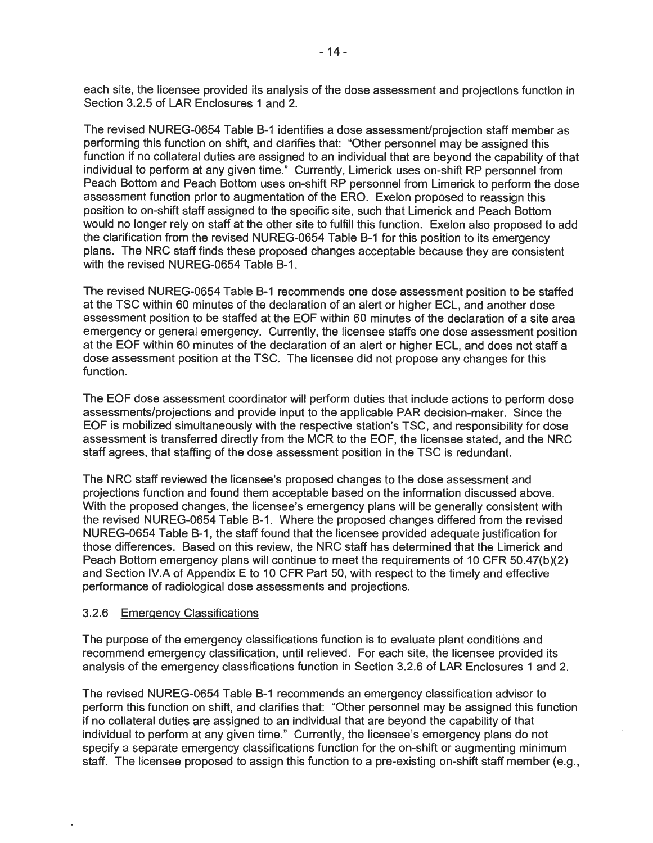each site, the licensee provided its analysis of the dose assessment and projections function in Section 3.2.5 of LAR Enclosures 1 and 2.

The revised NUREG-0654 Table B-1 identifies a dose assessment/projection staff member as performing this function on shift, and clarifies that: "Other personnel may be assigned this function if no collateral duties are assigned to an individual that are beyond the capability of that individual to perform at any given time." Currently, Limerick uses on-shift RP personnel from Peach Bottom and Peach Bottom uses on-shift RP personnel from Limerick to perform the dose assessment function prior to augmentation of the ERO. Exelon proposed to reassign this position to on-shift staff assigned to the specific site, such that Limerick and Peach Bottom would no longer rely on staff at the other site to fulfill this function. Exelon also proposed to add the clarification from the revised NUREG-0654 Table B-1 for this position to its emergency plans. The NRC staff finds these proposed changes acceptable because they are consistent with the revised NUREG-0654 Table B-1.

The revised NUREG-0654 Table B-1 recommends one dose assessment position to be staffed at the TSC within 60 minutes of the declaration of an alert or higher ECL, and another dose assessment position to be staffed at the EOF within 60 minutes of the declaration of a site area emergency or general emergency. Currently, the licensee staffs one dose assessment position at the EOF within 60 minutes of the declaration of an alert or higher ECL, and does not staff a dose assessment position at the TSC. The licensee did not propose any changes for this function.

The EOF dose assessment coordinator will perform duties that include actions to perform dose assessments/projections and provide input to the applicable PAR decision-maker. Since the EOF is mobilized simultaneously with the respective station's TSC, and responsibility for dose assessment is transferred directly from the MCR to the EOF, the licensee stated, and the NRC staff agrees, that staffing of the dose assessment position in the TSC is redundant.

The NRC staff reviewed the licensee's proposed changes to the dose assessment and projections function and found them acceptable based on the information discussed above. With the proposed changes, the licensee's emergency plans will be generally consistent with the revised NUREG-0654 Table B-1. Where the proposed changes differed from the revised NUREG-0654 Table B-1, the staff found that the licensee provided adequate justification for those differences. Based on this review, the NRC staff has determined that the Limerick and Peach Bottom emergency plans will continue to meet the requirements of 10 CFR 50.47(b)(2) and Section IV.A of Appendix E to 10 CFR Part 50, with respect to the timely and effective performance of radiological dose assessments and projections.

#### 3.2.6 Emergency Classifications

The purpose of the emergency classifications function is to evaluate plant conditions and recommend emergency classification, until relieved. For each site, the licensee provided its analysis of the emergency classifications function in Section 3.2.6 of LAR Enclosures 1 and 2.

The revised NUREG-0654 Table B-1 recommends an emergency classification advisor to perform this function on shift, and clarifies that: "Other personnel may be assigned this function if no collateral duties are assigned to an individual that are beyond the capability of that individual to perform at any given time." Currently, the licensee's emergency plans do not specify a separate emergency classifications function for the on-shift or augmenting minimum staff. The licensee proposed to assign this function to a pre-existing on-shift staff member (e.g.,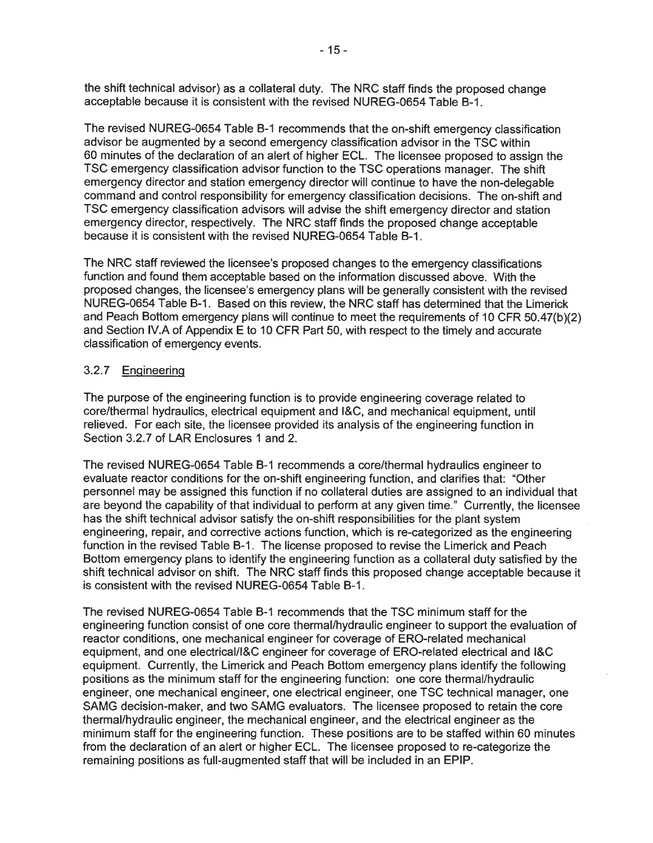the shift technical advisor) as a collateral duty. The NRC staff finds the proposed change acceptable because it is consistent with the revised NUREG-0654 Table B-1.

The revised NUREG-0654 Table B-1 recommends that the on-shift emergency classification advisor be augmented by a second emergency classification advisor in the TSC within 60 minutes of the declaration of an alert of higher ECL. The licensee proposed to assign the TSC emergency classification advisor function to the TSC operations manager. The shift emergency director and station emergency director will continue to have the non-delegable command and control responsibility for emergency classification decisions. The on-shift and TSC emergency classification advisors will advise the shift emergency director and station emergency director, respectively. The NRC staff finds the proposed change acceptable because it is consistent with the revised NUREG-0654 Table B-1.

The NRC staff reviewed the licensee's proposed changes to the emergency classifications function and found them acceptable based on the information discussed above. With the proposed changes, the licensee's emergency plans will be generally consistent with the revised NUREG-0654 Table B-1. Based on this review, the NRC staff has determined that the Limerick and Peach Bottom emergency plans will continue to meet the requirements of 10 CFR 50.47(b)(2) and Section IV.A of Appendix E to 10 CFR Part 50, with respect to the timely and accurate classification of emergency events.

# 3.2.7 Engineering

The purpose of the engineering function is to provide engineering coverage related to core/thermal hydraulics, electrical equipment and l&C, and mechanical equipment, until relieved. For each site, the licensee provided its analysis of the engineering function in Section 3.2.7 of LAR Enclosures 1 and 2.

The revised NUREG-0654 Table B-1 recommends a core/thermal hydraulics engineer to evaluate reactor conditions for the on-shift engineering function, and clarifies that: "Other personnel may be assigned this function if no collateral duties are assigned to an individual that are beyond the capability of that individual to perform at any given time." Currently, the licensee has the shift technical advisor satisfy the on-shift responsibilities for the plant system engineering, repair, and corrective actions function, which is re-categorized as the engineering function in the revised Table B-1. The license proposed to revise the Limerick and Peach Bottom emergency plans to identify the engineering function as a collateral duty satisfied by the shift technical advisor on shift. The NRC staff finds this proposed change acceptable because it is consistent with the revised NUREG-0654 Table B-1.

The revised NUREG-0654 Table B-1 recommends that the TSC minimum staff for the engineering function consist of one core thermal/hydraulic engineer to support the evaluation of reactor conditions, one mechanical engineer for coverage of ERO-related mechanical equipment, and one electrical/l&C engineer for coverage of ERO-related electrical and l&C equipment. Currently, the Limerick and Peach Bottom emergency plans identify the following positions as the minimum staff for the engineering function: one core thermal/hydraulic engineer, one mechanical engineer, one electrical engineer, one TSC technical manager, one SAMG decision-maker, and two SAMG evaluators. The licensee proposed to retain the core thermal/hydraulic engineer, the mechanical engineer, and the electrical engineer as the minimum staff for the engineering function. These positions are to be staffed within 60 minutes from the declaration of an alert or higher ECL. The licensee proposed to re-categorize the remaining positions as full-augmented staff that will be included in an EPIP.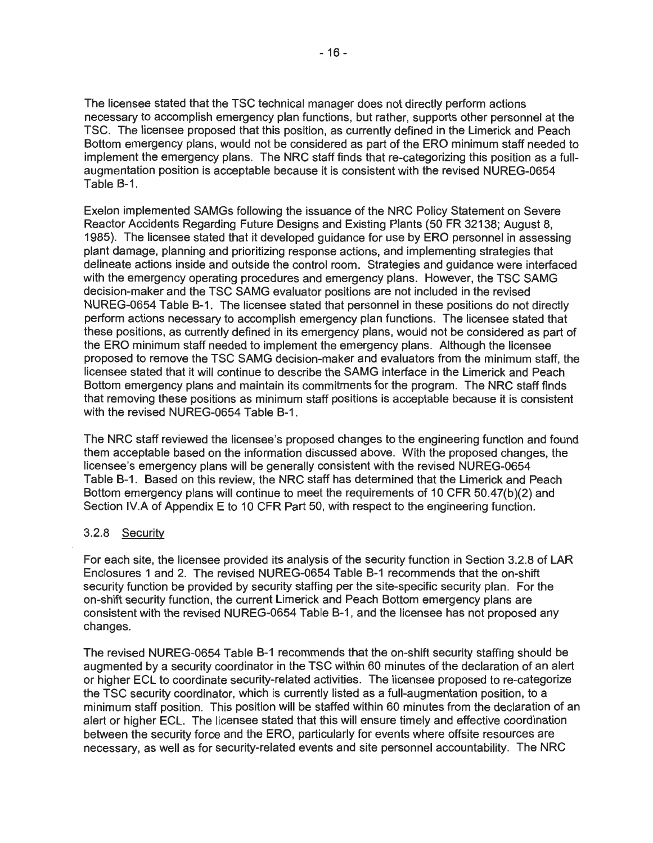The licensee stated that the TSC technical manager does not directly perform actions necessary to accomplish emergency plan functions, but rather, supports other personnel at the TSC. The licensee proposed that this position, as currently defined in the Limerick and Peach Bottom emergency plans, would not be considered as part of the ERO minimum staff needed to implement the emergency plans. The NRC staff finds that re-categorizing this position as a fullaugmentation position is acceptable because it is consistent with the revised NUREG-0654 Table B-1.

Exelon implemented SAMGs following the issuance of the NRC Policy Statement on Severe Reactor Accidents Regarding Future Designs and Existing Plants (50 FR 32138; August 8, 1985). The licensee stated that it developed guidance for use by ERO personnel in assessing plant damage, planning and prioritizing response actions, and implementing strategies that delineate actions inside and outside the control room. Strategies and guidance were interfaced with the emergency operating procedures and emergency plans. However, the TSC SAMG decision-maker and the TSC SAMG evaluator positions are not included in the revised NUREG-0654 Table B-1. The licensee stated that personnel in these positions do not directly perform actions necessary to accomplish emergency plan functions. The licensee stated that these positions, as currently defined in its emergency plans, would not be considered as part of the ERO minimum staff needed to implement the emergency plans. Although the licensee proposed to remove the TSC SAMG decision-maker and evaluators from the minimum staff, the licensee stated that it will continue to describe the SAMG interface in the Limerick and Peach Bottom emergency plans and maintain its commitments for the program. The NRC staff finds that removing these positions as minimum staff positions is acceptable because it is consistent with the revised NUREG-0654 Table B-1.

The NRC staff reviewed the licensee's proposed changes to the engineering function and found them acceptable based on the information discussed above. With the proposed changes, the licensee's emergency plans will be generally consistent with the revised NUREG-0654 Table B-1. Based on this review, the NRC staff has determined that the Limerick and Peach Bottom emergency plans will continue to meet the requirements of 10 CFR 50.47(b)(2) and Section IV.A of Appendix E to 10 CFR Part 50, with respect to the engineering function.

# 3.2.8 Security

For each site, the licensee provided its analysis of the security function in Section 3.2.8 of LAR Enclosures 1 and 2. The revised NUREG-0654 Table B-1 recommends that the on-shift security function be provided by security staffing per the site-specific security plan. For the on-shift security function, the current Limerick and Peach Bottom emergency plans are consistent with the revised NUREG-0654 Table B-1, and the licensee has not proposed any changes.

The revised NUREG-0654 Table B-1 recommends that the on-shift security staffing should be augmented by a security coordinator in the TSC within 60 minutes of the declaration of an alert or higher ECL to coordinate security-related activities. The licensee proposed to re-categorize the TSC security coordinator, which is currently listed as a full-augmentation position, to a minimum staff position. This position will be staffed within 60 minutes from the declaration of an alert or higher ECL. The licensee stated that this will ensure timely and effective coordination between the security force and the ERO, particularly for events where offsite resources are necessary, as well as for security-related events and site personnel accountability. The NRC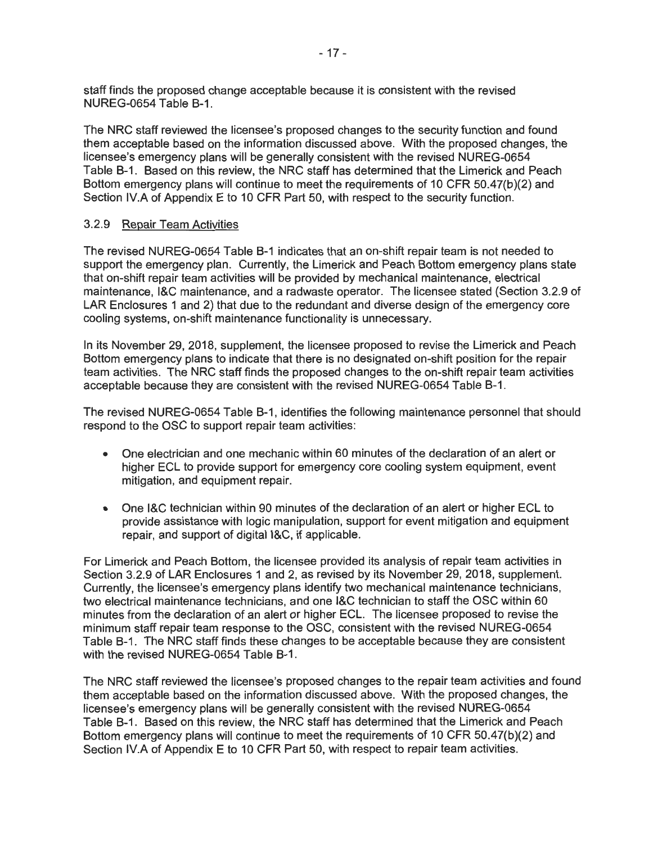staff finds the proposed change acceptable because it is consistent with the revised NUREG-0654 Table B-1.

The NRC staff reviewed the licensee's proposed changes to the security function and found them acceptable based on the information discussed above. With the proposed changes, the licensee's emergency plans will be generally consistent with the revised NUREG-0654 Table B-1. Based on this review, the NRC staff has determined that the Limerick and Peach Bottom emergency plans will continue to meet the requirements of 10 CFR 50.47(b)(2) and Section IV.A of Appendix E to 10 CFR Part 50, with respect to the security function.

#### 3.2.9 Repair Team Activities

The revised NUREG-0654 Table B-1 indicates that an on-shift repair team is not needed to support the emergency plan. Currently, the Limerick and Peach Bottom emergency plans state that on-shift repair team activities will be provided by mechanical maintenance, electrical maintenance, l&C maintenance, and a radwaste operator. The licensee stated (Section 3.2.9 of LAR Enclosures 1 and 2) that due to the redundant and diverse design of the emergency core cooling systems, on-shift maintenance functionality is unnecessary.

In its November 29, 2018, supplement, the licensee proposed to revise the Limerick and Peach Bottom emergency plans to indicate that there is no designated on-shift position for the repair team activities. The NRC staff finds the proposed changes to the on-shift repair team activities acceptable because they are consistent with the revised NUREG-0654 Table B-1.

The revised NUREG-0654 Table B-1, identifies the following maintenance personnel that should respond to the OSC to support repair team activities:

- One electrician and one mechanic within 60 minutes of the declaration of an alert or higher ECL to provide support for emergency core cooling system equipment, event mitigation, and equipment repair.
- One l&C technician within 90 minutes of the declaration of an alert or higher ECL to provide assistance with logic manipulation, support for event mitigation and equipment repair, and support of digital l&C, if applicable.

For Limerick and Peach Bottom, the licensee provided its analysis of repair team activities in Section 3.2.9 of LAR Enclosures 1 and 2, as revised by its November 29, 2018, supplement. Currently, the licensee's emergency plans identify two mechanical maintenance technicians, two electrical maintenance technicians, and one l&C technician to staff the OSC within 60 minutes from the declaration of an alert or higher ECL. The licensee proposed to revise the minimum staff repair team response to the OSC, consistent with the revised NUREG-0654 Table B-1. The NRC staff finds these changes to be acceptable because they are consistent with the revised NUREG-0654 Table B-1.

The NRC staff reviewed the licensee's proposed changes to the repair team activities and found them acceptable based on the information discussed above. With the proposed changes, the licensee's emergency plans will be generally consistent with the revised NUREG-0654 Table B-1. Based on this review, the NRC staff has determined that the Limerick and Peach Bottom emergency plans will continue to meet the requirements of 10 CFR 50.47(b)(2) and Section IV.A of Appendix E to 10 CFR Part 50, with respect to repair team activities.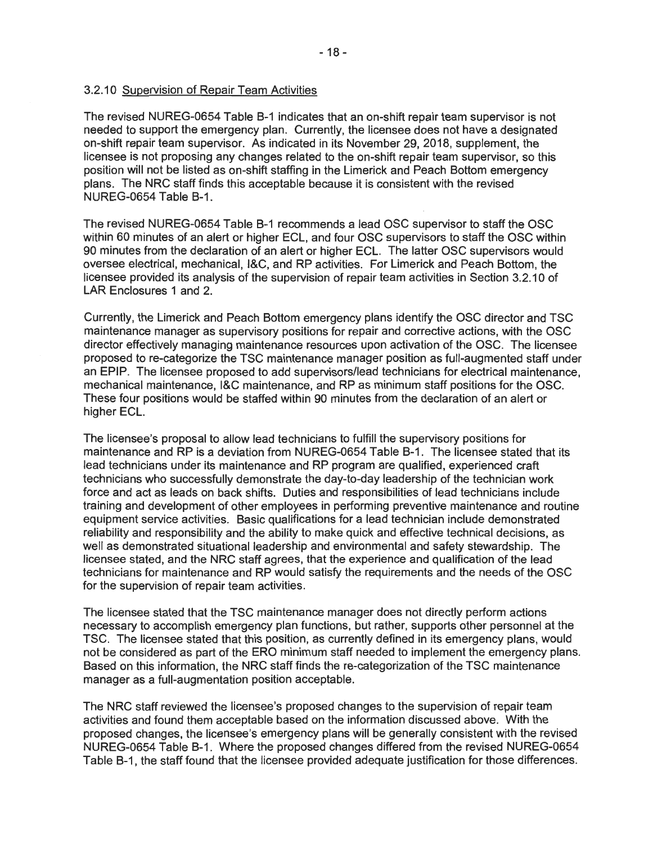#### 3.2.10 Supervision of Repair Team Activities

The revised NUREG-0654 Table B-1 indicates that an on-shift repair team supervisor is not needed to support the emergency plan. Currently, the licensee does not have a designated on-shift repair team supervisor. As indicated in its November 29, 2018, supplement, the licensee is not proposing any changes related to the on-shift repair team supervisor, so this position will not be listed as on-shift staffing in the Limerick and Peach Bottom emergency plans. The NRC staff finds this acceptable because it is consistent with the revised NUREG-0654 Table B-1.

The revised NUREG-0654 Table B-1 recommends a lead OSC supervisor to staff the OSC within 60 minutes of an alert or higher ECL, and four OSC supervisors to staff the OSC within 90 minutes from the declaration of an alert or higher ECL. The latter OSC supervisors would oversee electrical, mechanical, l&C, and RP activities. For Limerick and Peach Bottom, the licensee provided its analysis of the supervision of repair team activities in Section 3.2.10 of LAR Enclosures 1 and 2.

Currently, the Limerick and Peach Bottom emergency plans identify the OSC director and TSC maintenance manager as supervisory positions for repair and corrective actions, with the OSC director effectively managing maintenance resources upon activation of the OSC. The licensee proposed to re-categorize the TSC maintenance manager position as full-augmented staff under an EPIP. The licensee proposed to add supervisors/lead technicians for electrical maintenance, mechanical maintenance, l&C maintenance, and RP as minimum staff positions for the OSC. These four positions would be staffed within 90 minutes from the declaration of an alert or higher ECL.

The licensee's proposal to allow lead technicians to fulfill the supervisory positions for maintenance and RP is a deviation from NUREG-0654 Table B-1. The licensee stated that its lead technicians under its maintenance and RP program are qualified, experienced craft technicians who successfully demonstrate the day-to-day leadership of the technician work force and act as leads on back shifts. Duties and responsibilities of lead technicians include training and development of other employees in performing preventive maintenance and routine equipment service activities. Basic qualifications for a lead technician include demonstrated reliability and responsibility and the ability to make quick and effective technical decisions, as well as demonstrated situational leadership and environmental and safety stewardship. The licensee stated, and the NRC staff agrees, that the experience and qualification of the lead technicians for maintenance and RP would satisfy the requirements and the needs of the OSC for the supervision of repair team activities.

The licensee stated that the TSC maintenance manager does not directly perform actions necessary to accomplish emergency plan functions, but rather, supports other personnel at the TSC. The licensee stated that this position, as currently defined in its emergency plans, would not be considered as part of the ERO minimum staff needed to implement the emergency plans. Based on this information, the NRC staff finds the re-categorization of the TSC maintenance manager as a full-augmentation position acceptable.

The NRC staff reviewed the licensee's proposed changes to the supervision of repair team activities and found them acceptable based on the information discussed above. With the proposed changes, the licensee's emergency plans will be generally consistent with the revised NUREG-0654 Table B-1. Where the proposed changes differed from the revised NUREG-0654 Table B-1, the staff found that the licensee provided adequate justification for those differences.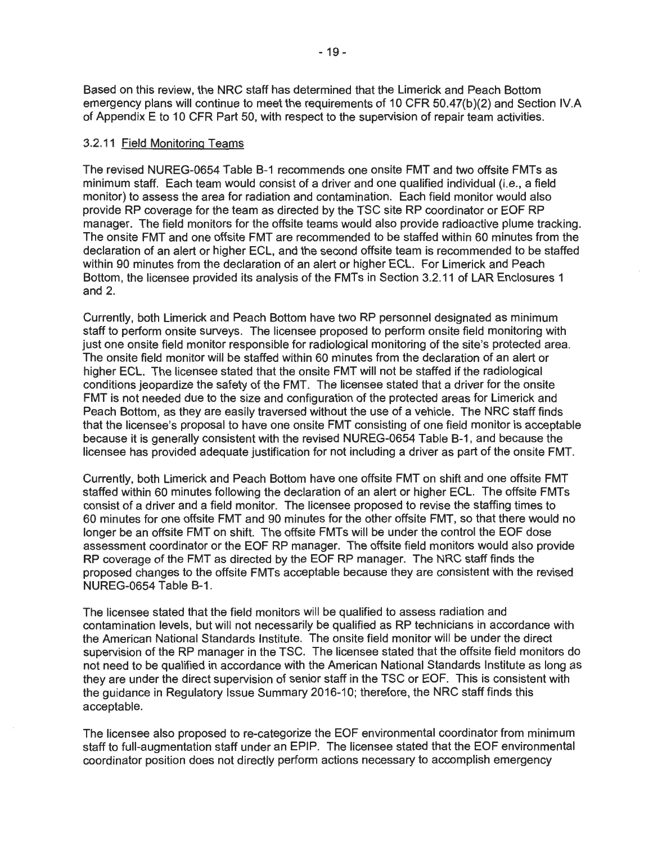Based on this review, the NRC staff has determined that the Limerick and Peach Bottom emergency plans will continue to meet the requirements of 10 CFR 50.47(b)(2) and Section IV.A of Appendix E to 10 CFR Part 50, with respect to the supervision of repair team activities.

#### 3.2.11 Field Monitoring Teams

The revised NUREG-0654 Table B-1 recommends one onsite FMT and two offsite FMTs as minimum staff. Each team would consist of a driver and one qualified individual (i.e., a field monitor) to assess the area for radiation and contamination. Each field monitor would also provide RP coverage for the team as directed by the TSC site RP coordinator or EOF RP manager. The field monitors for the offsite teams would also provide radioactive plume tracking. The onsite FMT and one offsite FMT are recommended to be staffed within 60 minutes from the declaration of an alert or higher ECL, and the second offsite team is recommended to be staffed within 90 minutes from the declaration of an alert or higher ECL. For Limerick and Peach Bottom, the licensee provided its analysis of the FMTs in Section 3.2.11 of LAR Enclosures 1 and 2.

Currently, both Limerick and Peach Bottom have two RP personnel designated as minimum staff to perform onsite surveys. The licensee proposed to perform onsite field monitoring with just one onsite field monitor responsible for radiological monitoring of the site's protected area. The onsite field monitor will be staffed within 60 minutes from the declaration of an alert or higher ECL. The licensee stated that the onsite FMT will not be staffed if the radiological conditions jeopardize the safety of the FMT. The licensee stated that a driver for the onsite FMT is not needed due to the size and configuration of the protected areas for Limerick and Peach Bottom, as they are easily traversed without the use of a vehicle. The NRC staff finds that the licensee's proposal to have one onsite FMT consisting of one field monitor is acceptable because it is generally consistent with the revised NUREG-0654 Table B-1, and because the licensee has provided adequate justification for not including a driver as part of the onsite FMT.

Currently, both Limerick and Peach Bottom have one offsite FMT on shift and one offsite FMT staffed within 60 minutes following the declaration of an alert or higher ECL. The offsite FMTs consist of a driver and a field monitor. The licensee proposed to revise the staffing times to 60 minutes for one offsite FMT and 90 minutes for the other offsite FMT, so that there would no longer be an offsite FMT on shift. The offsite FMTs will be under the control the EOF dose assessment coordinator or the EOF RP manager. The offsite field monitors would also provide RP coverage of the FMT as directed by the EOF RP manager. The NRC staff finds the proposed changes to the offsite FMTs acceptable because they are consistent with the revised NUREG-0654 Table B-1.

The licensee stated that the field monitors will be qualified to assess radiation and contamination levels, but will not necessarily be qualified as RP technicians in accordance with the American National Standards Institute. The onsite field monitor will be under the direct supervision of the RP manager in the TSC. The licensee stated that the offsite field monitors do not need to be qualified in accordance with the American National Standards Institute as long as they are under the direct supervision of senior staff in the TSC or EOF. This is consistent with the guidance in Regulatory Issue Summary 2016-10; therefore, the NRC staff finds this acceptable.

The licensee also proposed to re-categorize the EOF environmental coordinator from minimum staff to full-augmentation staff under an EPIP. The licensee stated that the EOF environmental coordinator position does not directly perform actions necessary to accomplish emergency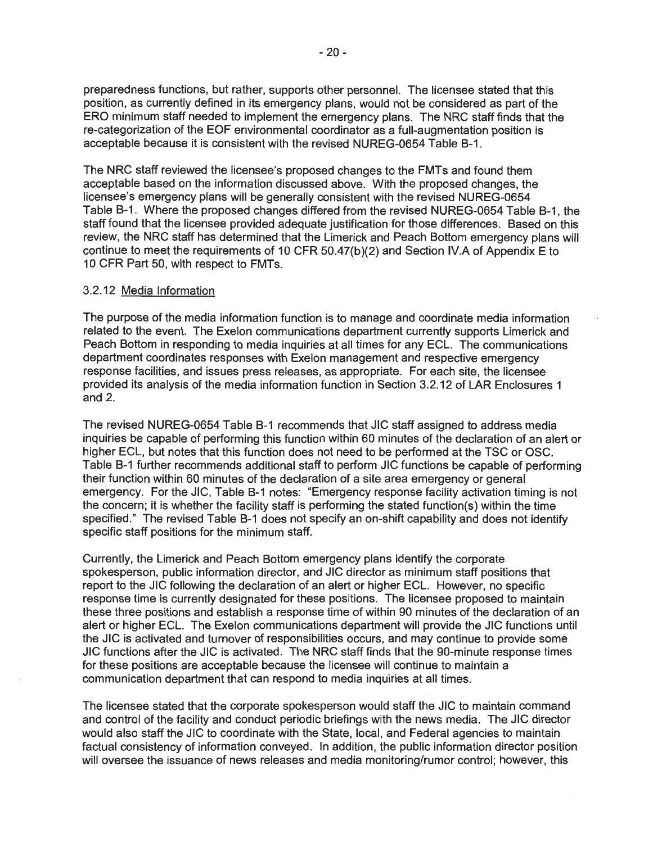preparedness functions, but rather, supports other personnel. The licensee stated that this position, as currently defined in its emergency plans, would not be considered as part of the ERO minimum staff needed to implement the emergency plans. The NRC staff finds that the re-categorization of the EOF environmental coordinator as a full-augmentation position is acceptable because it is consistent with the revised NUREG-0654 Table B-1.

The NRC staff reviewed the licensee's proposed changes to the FMTs and found them acceptable based on the information discussed above. With the proposed changes, the licensee's emergency plans will be generally consistent with the revised NUREG-0654 Table B-1. Where the proposed changes differed from the revised NUREG-0654 Table B-1, the staff found that the licensee provided adequate justification for those differences. Based on this review, the NRC staff has determined that the Limerick and Peach Bottom emergency plans will continue to meet the requirements of 10 CFR 50.47(b)(2) and Section IV.A of Appendix E to 10 CFR Part 50, with respect to FMTs.

#### 3.2.12 Media Information

The purpose of the media information function is to manage and coordinate media information related to the event. The Exelon communications department currently supports Limerick and Peach Bottom in responding to media inquiries at all times for any ECL. The communications department coordinates responses with Exelon management and respective emergency response facilities, and issues press releases, as appropriate. For each site, the licensee provided its analysis of the media information function in Section 3.2.12 of **LAR** Enclosures 1 and 2.

The revised NUREG-0654 Table B-1 recommends that JIC staff assigned to address media inquiries be capable of performing this function within 60 minutes of the declaration of an alert or higher ECL, but notes that this function does not need to be performed at the TSC or OSC. Table B-1 further recommends additional staff to perform JIC functions be capable of performing their function within 60 minutes of the declaration of a site area emergency or general emergency. For the JIC, Table B-1 notes: "Emergency response facility activation timing is not the concern; it is whether the facility staff is performing the stated function(s) within the time specified." The revised Table B-1 does not specify an on-shift capability and does not identify specific staff positions for the minimum staff.

Currently, the Limerick and Peach Bottom emergency plans identify the corporate spokesperson, public information director, and JIC director as minimum staff positions that report to the JIC following the declaration of an alert or higher ECL. However, no specific response time is currently designated for these positions. The licensee proposed to maintain these three positions and establish a response time of within 90 minutes of the declaration of an alert or higher ECL. The Exelon communications department will provide the JIC functions until the JIC is activated and turnover of responsibilities occurs, and may continue to provide some JIC functions after the JIC is activated. The NRC staff finds that the 90-minute response times for these positions are acceptable because the licensee will continue to maintain a communication department that can respond to media inquiries at all times.

The licensee stated that the corporate spokesperson would staff the JIC to maintain command and control of the facility and conduct periodic briefings with the news media. The JIC director would also staff the JIC to coordinate with the State, local, and Federal agencies to maintain factual consistency of information conveyed. In addition, the public information director position will oversee the issuance of news releases and media monitoring/rumor control; however, this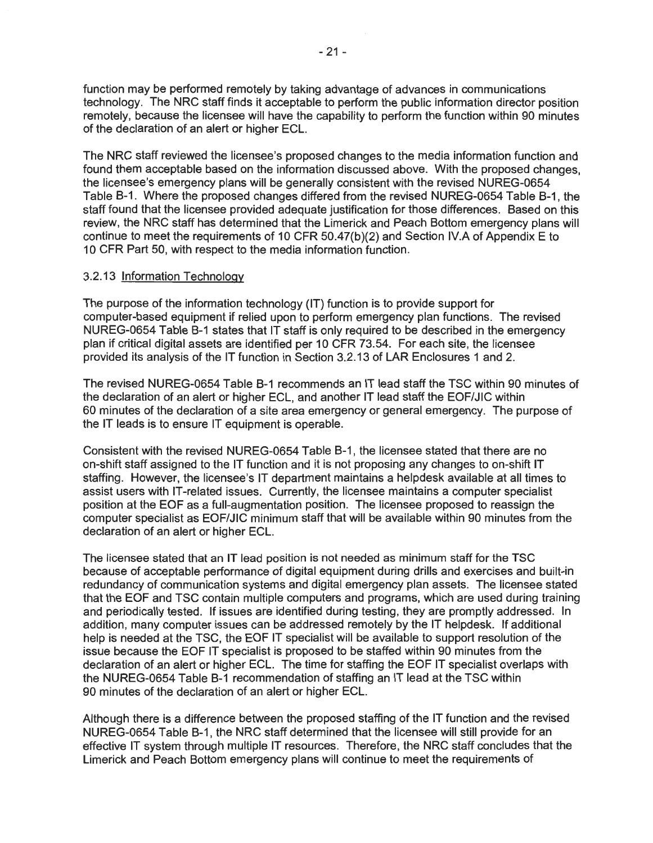function may be performed remotely by taking advantage of advances in communications technology. The NRG staff finds it acceptable to perform the public information director position remotely, because the licensee will have the capability to perform the function within 90 minutes of the declaration of an alert or higher EGL.

The NRC staff reviewed the licensee's proposed changes to the media information function and found them acceptable based on the information discussed above. With the proposed changes, the licensee's emergency plans will be generally consistent with the revised NUREG-0654 Table B-1. Where the proposed changes differed from the revised NUREG-0654 Table B-1, the staff found that the licensee provided adequate justification for those differences. Based on this review, the NRG staff has determined that the Limerick and Peach Bottom emergency plans will continue to meet the requirements of 10 GFR 50.47(b)(2) and Section IV.A of Appendix E to 10 GFR Part 50, with respect to the media information function.

#### 3.2.13 Information Technology

The purpose of the information technology (IT) function is to provide support for computer-based equipment if relied upon to perform emergency plan functions. The revised NUREG-0654 Table B-1 states that IT staff is only required to be described in the emergency plan if critical digital assets are identified per 10 CFR 73.54. For each site, the licensee provided its analysis of the IT function in Section 3.2.13 of LAR Enclosures 1 and 2.

The revised NUREG-0654 Table B-1 recommends an IT lead staff the TSG within 90 minutes of the declaration of an alert or higher EGL, and another IT lead staff the EOF/JIC within 60 minutes of the declaration of a site area emergency or general emergency. The purpose of the IT leads is to ensure IT equipment is operable.

Consistent with the revised NUREG-0654 Table B-1, the licensee stated that there are no on-shift staff assigned to the IT function and it is not proposing any changes to on-shift IT staffing. However, the licensee's IT department maintains a helpdesk available at all times to assist users with IT-related issues. Currently, the licensee maintains a computer specialist position at the EOF as a full-augmentation position. The licensee proposed to reassign the computer specialist as EOF/JIG minimum staff that will be available within 90 minutes from the declaration of an alert or higher EGL.

The licensee stated that an IT lead position is not needed as minimum staff for the TSG because of acceptable performance of digital equipment during drills and exercises and built-in redundancy of communication systems and digital emergency plan assets. The licensee stated that the EOF and TSG contain multiple computers and programs, which are used during training and periodically tested. If issues are identified during testing, they are promptly addressed. In addition, many computer issues can be addressed remotely by the IT helpdesk. If additional help is needed at the TSG, the EOF IT specialist will be available to support resolution of the issue because the EOF IT specialist is proposed to be staffed within 90 minutes from the declaration of an alert or higher ECL. The time for staffing the EOF IT specialist overlaps with the NUREG-0654 Table B-1 recommendation of staffing an IT lead at the TSG within 90 minutes of the declaration of an alert or higher ECL.

Although there is a difference between the proposed staffing of the IT function and the revised NUREG-0654 Table B-1, the NRC staff determined that the licensee will still provide for an effective IT system through multiple IT resources. Therefore, the NRC staff concludes that the Limerick and Peach Bottom emergency plans will continue to meet the requirements of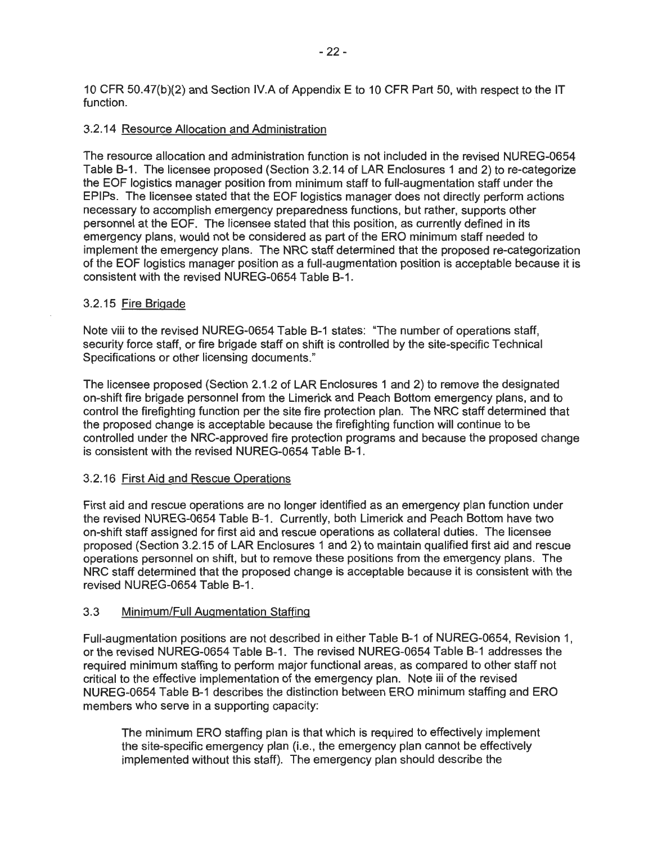10 CFR 50.47(b)(2) and Section IV.A of Appendix E to 10 CFR Part 50, with respect to the IT function.

#### 3.2.14 Resource Allocation and Administration

The resource allocation and administration function is not included in the revised NUREG-0654 Table B-1 . The licensee proposed (Section 3.2.14 of LAR Enclosures 1 and 2) to re-categorize the EOF logistics manager position from minimum staff to full-augmentation staff under the EPIPs. The licensee stated that the EOF logistics manager does not directly perform actions necessary to accomplish emergency preparedness functions, but rather, supports other personnel at the EOF. The licensee stated that this position, as currently defined in its emergency plans, would not be considered as part of the ERO minimum staff needed to implement the emergency plans. The NRC staff determined that the proposed re-categorization of the EOF logistics manager position as a full-augmentation position is acceptable because it is consistent with the revised NUREG-0654 Table B-1.

#### 3.2.15 Fire Brigade

Note viii to the revised NUREG-0654 Table B-1 states: "The number of operations staff, security force staff, or fire brigade staff on shift is controlled by the site-specific Technical Specifications or other licensing documents."

The licensee proposed (Section 2.1.2 of LAR Enclosures 1 and 2) to remove the designated on-shift fire brigade personnel from the Limerick and Peach Bottom emergency plans, and to control the firefighting function per the site fire protection plan. The NRC staff determined that the proposed change is acceptable because the firefighting function will continue to be controlled under the NRG-approved fire protection programs and because the proposed change is consistent with the revised NUREG-0654 Table B-1.

# 3.2.16 First Aid and Rescue Operations

First aid and rescue operations are no longer identified as an emergency plan function under the revised NUREG-0654 Table B-1 . Currently, both Limerick and Peach Bottom have two on-shift staff assigned for first aid and rescue operations as collateral duties. The licensee proposed (Section 3.2.15 of LAR Enclosures 1 and 2) to maintain qualified first aid and rescue operations personnel on shift, but to remove these positions from the emergency plans. The NRC staff determined that the proposed change is acceptable because it is consistent with the revised NUREG-0654 Table B-1.

# 3.3 Minimum/Full Augmentation Staffing

Full-augmentation positions are not described in either Table B-1 of NUREG-0654, Revision 1, or the revised NUREG-0654 Table B-1. The revised NUREG-0654 Table B~1 addresses the required minimum staffing to perform major functional areas, as compared to other staff not critical to the effective implementation of the emergency plan. Note iii of the revised NUREG-0654 Table B-1 describes the distinction between ERO minimum staffing and ERO members who serve in a supporting capacity:

The minimum ERO staffing plan is that which is required to effectively implement the site-specific emergency plan (i.e., the emergency plan cannot be effectively implemented without this staff). The emergency plan should describe the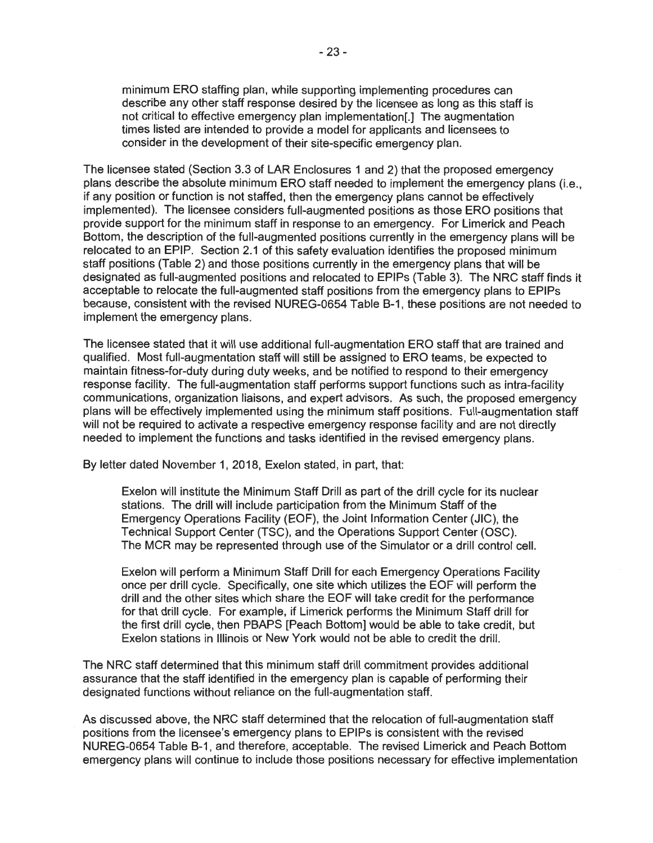minimum ERO staffing plan, while supporting implementing procedures can describe any other staff response desired by the licensee as long as this staff is not critical to effective emergency plan implementation[.] The augmentation times listed are intended to provide a model for applicants and licensees to consider in the development of their site-specific emergency plan.

The licensee stated (Section 3.3 of LAR Enclosures 1 and 2) that the proposed emergency plans describe the absolute minimum ERO staff needed to implement the emergency plans (i.e., if any position or function is not staffed, then the emergency plans cannot be effectively implemented). The licensee considers full-augmented positions as those ERO positions that provide support for the minimum staff in response to an emergency. For Limerick and Peach Bottom, the description of the full-augmented positions currently in the emergency plans will be relocated to an EPIP. Section 2.1 of this safety evaluation identifies the proposed minimum staff positions (Table 2) and those positions currently in the emergency plans that will be designated as full-augmented positions and relocated to EPIPs (Table 3). The NRC staff finds it acceptable to relocate the full-augmented staff positions from the emergency plans to EPIPs because, consistent with the revised NUREG-0654 Table B-1 , these positions are not needed to implement the emergency plans.

The licensee stated that it will use additional full-augmentation ERO staff that are trained and qualified. Most full-augmentation staff will still be assigned to ERO teams, be expected to maintain fitness-for-duty during duty weeks, and be notified to respond to their emergency response facility. The full-augmentation staff performs support functions such as intra-facility communications, organization liaisons, and expert advisors. As such, the proposed emergency plans will be effectively implemented using the minimum staff positions. Full-augmentation staff will not be required to activate a respective emergency response facility and are not directly needed to implement the functions and tasks identified in the revised emergency plans.

By letter dated November 1, 2018, Exelon stated, in part, that:

Exelon will institute the Minimum Staff Drill as part of the drill cycle for its nuclear stations. The drill will include participation from the Minimum Staff of the Emergency Operations Facility (EOF), the Joint Information Center (JIC), the Technical Support Center (TSC), and the Operations Support Center (OSC). The MCR may be represented through use of the Simulator or a drill control cell.

Exelon will perform a Minimum Staff Drill for each Emergency Operations Facility once per drill cycle. Specifically, one site which utilizes the EOF will perform the drill and the other sites which share the EOF will take credit for the performance for that drill cycle. For example, if Limerick performs the Minimum Staff drill for the first drill cycle, then PBAPS [Peach Bottom] would be able to take credit, but Exelon stations in Illinois or New York would not be able to credit the drill.

The NRC staff determined that this minimum staff drill commitment provides additional assurance that the staff identified in the emergency plan is capable of performing their designated functions without reliance on the full-augmentation staff.

As discussed above, the NRC staff determined that the relocation of full-augmentation staff positions from the licensee's emergency plans to EPIPs is consistent with the revised NUREG-0654 Table B-1, and therefore, acceptable. The revised Limerick and Peach Bottom emergency plans will continue to include those positions necessary for effective implementation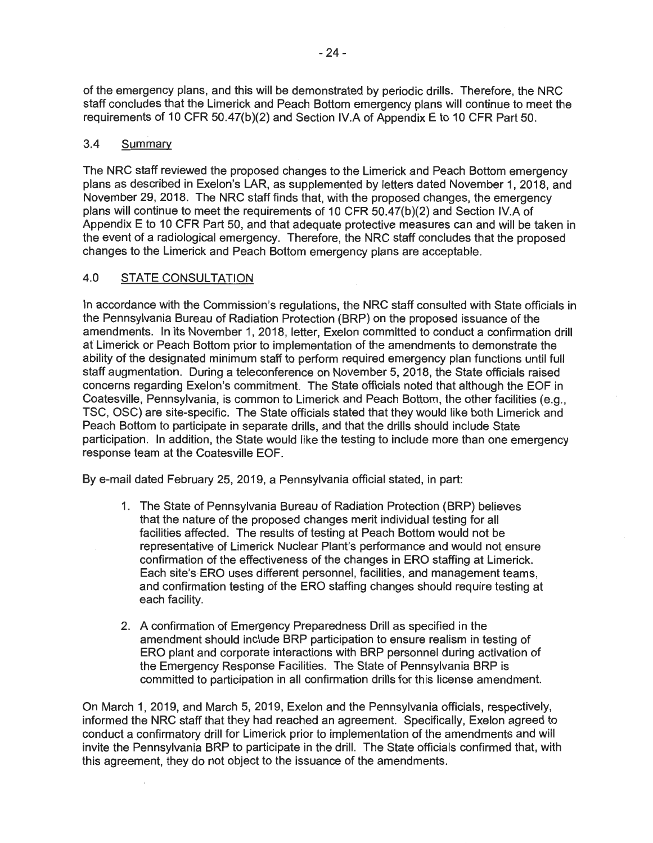of the emergency plans, and this will be demonstrated by periodic drills. Therefore, the NRC staff concludes that the Limerick and Peach Bottom emergency plans will continue to meet the requirements of 10 CFR 50.47(b)(2) and Section IV.A of Appendix E to 10 CFR Part 50.

## 3.4 Summary

The NRC staff reviewed the proposed changes to the Limerick and Peach Bottom emergency plans as described in Exelon's LAR, as supplemented by letters dated November 1, 2018, and November 29, 2018. The NRC staff finds that, with the proposed changes, the emergency plans will continue to meet the requirements of 10 CFR 50.47(b)(2) and Section IV.A of Appendix E to 10 CFR Part 50, and that adequate protective measures can and will be taken in the event of a radiological emergency. Therefore, the NRC staff concludes that the proposed changes to the Limerick and Peach Bottom emergency plans are acceptable.

#### 4.0 STATE CONSULTATION

In accordance with the Commission's regulations, the NRC staff consulted with State officials in the Pennsylvania Bureau of Radiation Protection (BRP) on the proposed issuance of the amendments. In its November 1, 2018, letter, Exelon committed to conduct a confirmation drill at Limerick or Peach Bottom prior to implementation of the amendments to demonstrate the ability of the designated minimum staff to perform required emergency plan functions until full staff augmentation. During a teleconference on November 5, 2018, the State officials raised concerns regarding Exelon's commitment. The State officials noted that although the EOF in Coatesville, Pennsylvania, is common to Limerick and Peach Bottom, the other facilities (e.g. , TSC, OSC) are site-specific. The State officials stated that they would like both Limerick and Peach Bottom to participate in separate drills, and that the drills should include State participation. In addition, the State would like the testing to include more than one emergency response team at the Coatesville EOF.

By e-mail dated February 25, 2019, a Pennsylvania official stated, in part:

- 1. The State of Pennsylvania Bureau of Radiation Protection (BRP) believes that the nature of the proposed changes merit individual testing for all facilities affected. The results of testing at Peach Bottom would not be representative of Limerick Nuclear Plant's performance and would not ensure confirmation of the effectiveness of the changes in ERO staffing at Limerick. Each site's ERO uses different personnel, facilities, and management teams, and confirmation testing of the ERO staffing changes should require testing at each facility.
- 2. A confirmation of Emergency Preparedness Drill as specified in the amendment should include BRP participation to ensure realism in testing of ERO plant and corporate interactions with BRP personnel during activation of the Emergency Response Facilities. The State of Pennsylvania BRP is committed to participation in all confirmation drills for this license amendment.

On March 1, 2019, and March 5, 2019, Exelon and the Pennsylvania officials, respectively, informed the NRC staff that they had reached an agreement. Specifically, Exelon agreed to conduct a confirmatory drill for Limerick prior to implementation of the amendments and will invite the Pennsylvania BRP to participate in the drill. The State officials confirmed that, with this agreement, they do not object to the issuance of the amendments.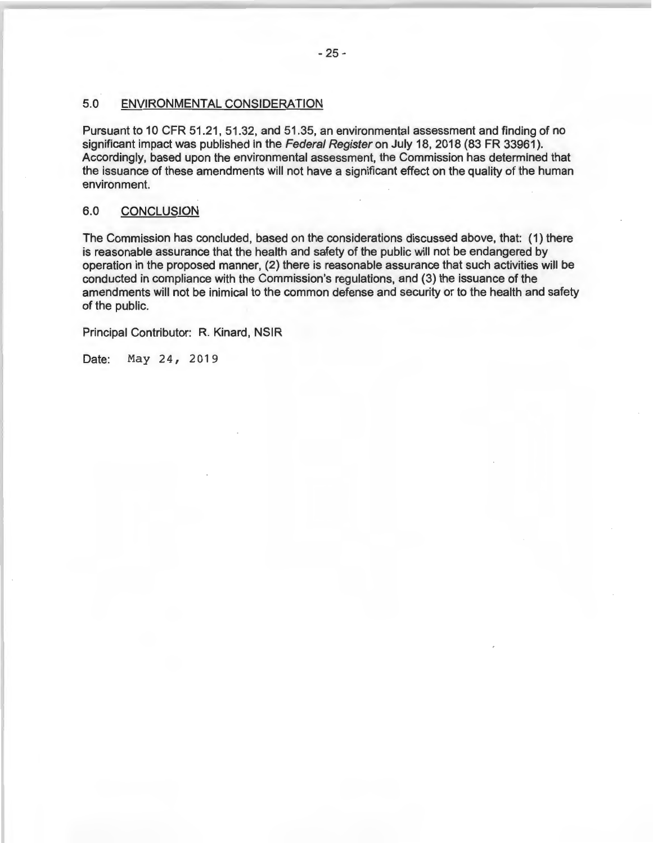#### 5.0 ENVIRONMENTAL CONSIDERATION

Pursuant to 10 CFR 51.21, 51.32, and 51.35, an environmental assessment and finding of no significant impact was published in the Federal Register on July 18, 2018 (83 FR 33961). Accordingly, based upon the environmental assessment, the Commission has determined that the issuance of these amendments will not have a significant effect on the quality of the human environment.

#### 6.0 CONCLUSION

The Commission has concluded, based on the considerations discussed above, that: (1) there is reasonable assurance that the health and safety of the public will not be endangered by operation in the proposed manner, (2) there is reasonable assurance that such activities will be conducted in compliance with the Commission's regulations, and (3) the issuance of the amendments will not be inimical to the common defense and security or to the health and safety of the public.

Principal Contributor: R. Kinard, NSIR

Date: May 24, 2019